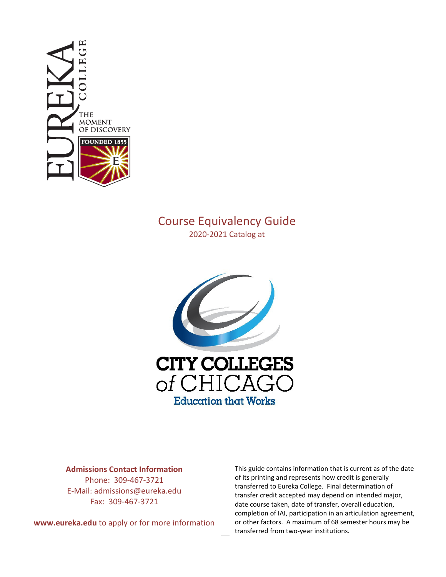

# Course Equivalency Guide

2020-2021 Catalog at



# **Admissions Contact Information**

Phone: 309-467-3721 E-Mail: admissions@eureka.edu Fax: 309-467-3721

**www.eureka.edu** to apply or for more information

This guide contains information that is current as of the date of its printing and represents how credit is generally transferred to Eureka College. Final determination of transfer credit accepted may depend on intended major, date course taken, date of transfer, overall education, completion of IAI, participation in an articulation agreement, or other factors. A maximum of 68 semester hours may be transferred from two-year institutions.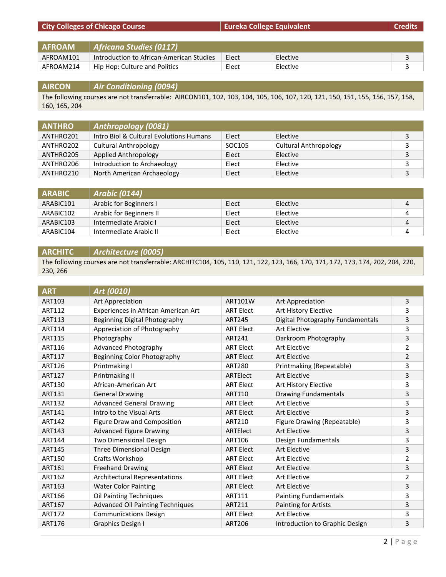| <b>AFROAM</b> | Africana Studies (0117)                  |       |          |  |
|---------------|------------------------------------------|-------|----------|--|
| AFROAM101     | Introduction to African-American Studies | Elect | Elective |  |
| AFROAM214     | Hip Hop: Culture and Politics            | Elect | Elective |  |

**City Colleges of Chicago Course EURE EXECUTE:** Eureka College Equivalent **COLLEGE EQUIVALE EXECUTE:** Credits

# **AIRCON** *Air Conditioning (0094)*

The following courses are not transferrable: AIRCON101, 102, 103, 104, 105, 106, 107, 120, 121, 150, 151, 155, 156, 157, 158, 160, 165, 204

| <b>ANTHRO</b> | Anthropology (0081)                     |        |                              |   |
|---------------|-----------------------------------------|--------|------------------------------|---|
| ANTHRO201     | Intro Biol & Cultural Evolutions Humans | Elect  | Elective                     | 3 |
| ANTHRO202     | <b>Cultural Anthropology</b>            | SOC105 | <b>Cultural Anthropology</b> |   |
| ANTHRO205     | Applied Anthropology                    | Elect  | Elective                     | 3 |
| ANTHRO206     | Introduction to Archaeology             | Elect  | Elective                     | 3 |
| ANTHRO210     | North American Archaeology              | Elect  | Elective                     | 3 |

| <b>ARABIC</b> | <b>Arabic (0144)</b>    |       |          |   |
|---------------|-------------------------|-------|----------|---|
| ARABIC101     | Arabic for Beginners I  | Elect | Elective | 4 |
| ARABIC102     | Arabic for Beginners II | Elect | Elective |   |
| ARABIC103     | Intermediate Arabic I   | Elect | Elective | 4 |
| ARABIC104     | Intermediate Arabic II  | Elect | Elective |   |

#### **ARCHITC** *Architecture (0005)*

The following courses are not transferrable: ARCHITC104, 105, 110, 121, 122, 123, 166, 170, 171, 172, 173, 174, 202, 204, 220, 230, 266

| <b>ART</b>    | Art (0010)                              |                  |                                  |                |
|---------------|-----------------------------------------|------------------|----------------------------------|----------------|
| <b>ART103</b> | <b>Art Appreciation</b>                 | <b>ART101W</b>   | Art Appreciation                 | 3              |
| ART112        | Experiences in African American Art     | <b>ART Elect</b> | Art History Elective             | 3              |
| <b>ART113</b> | Beginning Digital Photography           | <b>ART245</b>    | Digital Photography Fundamentals | 3              |
| ART114        | Appreciation of Photography             | <b>ART Elect</b> | <b>Art Elective</b>              | 3              |
| <b>ART115</b> | Photography                             | ART241           | Darkroom Photography             | $\overline{3}$ |
| ART116        | Advanced Photography                    | <b>ART Elect</b> | <b>Art Elective</b>              | $\overline{2}$ |
| <b>ART117</b> | Beginning Color Photography             | <b>ART Elect</b> | <b>Art Elective</b>              | $\overline{2}$ |
| ART126        | Printmaking I                           | <b>ART280</b>    | Printmaking (Repeatable)         | 3              |
| <b>ART127</b> | Printmaking II                          | ARTElect         | <b>Art Elective</b>              | 3              |
| <b>ART130</b> | African-American Art                    | <b>ART Elect</b> | Art History Elective             | 3              |
| <b>ART131</b> | <b>General Drawing</b>                  | <b>ART110</b>    | <b>Drawing Fundamentals</b>      | 3              |
| <b>ART132</b> | <b>Advanced General Drawing</b>         | <b>ART Elect</b> | <b>Art Elective</b>              | 3              |
| ART141        | Intro to the Visual Arts                | <b>ART Elect</b> | <b>Art Elective</b>              | 3              |
| <b>ART142</b> | Figure Draw and Composition             | ART210           | Figure Drawing (Repeatable)      | 3              |
| ART143        | <b>Advanced Figure Drawing</b>          | ARTElect         | <b>Art Elective</b>              | 3              |
| <b>ART144</b> | <b>Two Dimensional Design</b>           | ART106           | Design Fundamentals              | 3              |
| <b>ART145</b> | Three Dimensional Design                | <b>ART Elect</b> | <b>Art Elective</b>              | 3              |
| <b>ART150</b> | Crafts Workshop                         | <b>ART Elect</b> | <b>Art Elective</b>              | $\overline{2}$ |
| <b>ART161</b> | <b>Freehand Drawing</b>                 | <b>ART Elect</b> | <b>Art Elective</b>              | 3              |
| ART162        | <b>Architectural Representations</b>    | <b>ART Elect</b> | <b>Art Elective</b>              | $\overline{2}$ |
| <b>ART163</b> | <b>Water Color Painting</b>             | <b>ART Elect</b> | <b>Art Elective</b>              | 3              |
| ART166        | Oil Painting Techniques                 | ART111           | <b>Painting Fundamentals</b>     | 3              |
| ART167        | <b>Advanced Oil Painting Techniques</b> | ART211           | Painting for Artists             | 3              |
| ART172        | <b>Communications Design</b>            | <b>ART Elect</b> | <b>Art Elective</b>              | 3              |
| ART176        | Graphics Design I                       | <b>ART206</b>    | Introduction to Graphic Design   | 3              |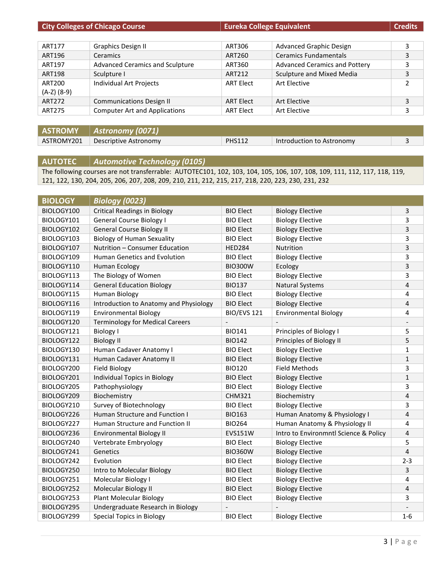|                       | <b>City Colleges of Chicago Course</b> | <b>Eureka College Equivalent</b> |                                      | <b>Credits</b> |
|-----------------------|----------------------------------------|----------------------------------|--------------------------------------|----------------|
|                       |                                        |                                  |                                      |                |
| ART177                | <b>Graphics Design II</b>              | ART306                           | Advanced Graphic Design              | 3              |
| ART196                | Ceramics                               | ART260                           | <b>Ceramics Fundamentals</b>         | 3              |
| ART197                | <b>Advanced Ceramics and Sculpture</b> | ART360                           | <b>Advanced Ceramics and Pottery</b> | 3              |
| <b>ART198</b>         | Sculpture I                            | ART212                           | Sculpture and Mixed Media            | 3              |
| ART200<br>(A-Z) (8-9) | Individual Art Projects                | <b>ART Elect</b>                 | Art Flective                         |                |
| ART272                | <b>Communications Design II</b>        | <b>ART Elect</b>                 | Art Elective                         | 3              |
| <b>ART275</b>         | <b>Computer Art and Applications</b>   | <b>ART Elect</b>                 | Art Elective                         | 3              |
|                       |                                        |                                  |                                      |                |

**ASTROMY** *Astronomy (0071)* ASTROMY201 Descriptive Astronomy PHS112 Introduction to Astronomy 3

# **AUTOTEC** *Automotive Technology (0105)*

The following courses are not transferrable: AUTOTEC101, 102, 103, 104, 105, 106, 107, 108, 109, 111, 112, 117, 118, 119, 121, 122, 130, 204, 205, 206, 207, 208, 209, 210, 211, 212, 215, 217, 218, 220, 223, 230, 231, 232

| <b>BIOLOGY</b> | <b>Biology (0023)</b>                  |                    |                                       |                |
|----------------|----------------------------------------|--------------------|---------------------------------------|----------------|
| BIOLOGY100     | <b>Critical Readings in Biology</b>    | <b>BIO Elect</b>   | <b>Biology Elective</b>               | 3              |
| BIOLOGY101     | <b>General Course Biology I</b>        | <b>BIO Elect</b>   | <b>Biology Elective</b>               | 3              |
| BIOLOGY102     | <b>General Course Biology II</b>       | <b>BIO Elect</b>   | <b>Biology Elective</b>               | 3              |
| BIOLOGY103     | <b>Biology of Human Sexuality</b>      | <b>BIO Elect</b>   | <b>Biology Elective</b>               | 3              |
| BIOLOGY107     | Nutrition - Consumer Education         | <b>HED284</b>      | Nutrition                             | 3              |
| BIOLOGY109     | Human Genetics and Evolution           | <b>BIO Elect</b>   | <b>Biology Elective</b>               | 3              |
| BIOLOGY110     | <b>Human Ecology</b>                   | <b>BIO300W</b>     | Ecology                               | 3              |
| BIOLOGY113     | The Biology of Women                   | <b>BIO Elect</b>   | <b>Biology Elective</b>               | 3              |
| BIOLOGY114     | <b>General Education Biology</b>       | <b>BIO137</b>      | <b>Natural Systems</b>                | 4              |
| BIOLOGY115     | Human Biology                          | <b>BIO Elect</b>   | <b>Biology Elective</b>               | 4              |
| BIOLOGY116     | Introduction to Anatomy and Physiology | <b>BIO Elect</b>   | <b>Biology Elective</b>               | 4              |
| BIOLOGY119     | <b>Environmental Biology</b>           | <b>BIO/EVS 121</b> | <b>Environmental Biology</b>          | 4              |
| BIOLOGY120     | <b>Terminology for Medical Careers</b> |                    |                                       |                |
| BIOLOGY121     | <b>Biology I</b>                       | <b>BIO141</b>      | Principles of Biology I               | 5              |
| BIOLOGY122     | <b>Biology II</b>                      | <b>BIO142</b>      | Principles of Biology II              | 5              |
| BIOLOGY130     | Human Cadaver Anatomy I                | <b>BIO Elect</b>   | <b>Biology Elective</b>               | 1              |
| BIOLOGY131     | Human Cadaver Anatomy II               | <b>BIO Elect</b>   | <b>Biology Elective</b>               | $\mathbf 1$    |
| BIOLOGY200     | <b>Field Biology</b>                   | <b>BIO120</b>      | <b>Field Methods</b>                  | 3              |
| BIOLOGY201     | Individual Topics in Biology           | <b>BIO Elect</b>   | <b>Biology Elective</b>               | $\mathbf 1$    |
| BIOLOGY205     | Pathophysiology                        | <b>BIO Elect</b>   | <b>Biology Elective</b>               | 3              |
| BIOLOGY209     | Biochemistry                           | <b>CHM321</b>      | Biochemistry                          | 4              |
| BIOLOGY210     | Survey of Biotechnology                | <b>BIO Elect</b>   | <b>Biology Elective</b>               | 3              |
| BIOLOGY226     | Human Structure and Function I         | <b>BIO163</b>      | Human Anatomy & Physiology I          | 4              |
| BIOLOGY227     | Human Structure and Function II        | <b>BIO264</b>      | Human Anatomy & Physiology II         | 4              |
| BIOLOGY236     | <b>Environmental Biology II</b>        | <b>EVS151W</b>     | Intro to Environmntl Science & Policy | 4              |
| BIOLOGY240     | Vertebrate Embryology                  | <b>BIO Elect</b>   | <b>Biology Elective</b>               | 5              |
| BIOLOGY241     | Genetics                               | <b>BIO360W</b>     | <b>Biology Elective</b>               | $\overline{4}$ |
| BIOLOGY242     | Evolution                              | <b>BIO Elect</b>   | <b>Biology Elective</b>               | $2 - 3$        |
| BIOLOGY250     | Intro to Molecular Biology             | <b>BIO Elect</b>   | <b>Biology Elective</b>               | 3              |
| BIOLOGY251     | Molecular Biology I                    | <b>BIO Elect</b>   | <b>Biology Elective</b>               | 4              |
| BIOLOGY252     | Molecular Biology II                   | <b>BIO Elect</b>   | <b>Biology Elective</b>               | 4              |
| BIOLOGY253     | <b>Plant Molecular Biology</b>         | <b>BIO Elect</b>   | <b>Biology Elective</b>               | 3              |
| BIOLOGY295     | Undergraduate Research in Biology      |                    |                                       |                |
| BIOLOGY299     | Special Topics in Biology              | <b>BIO Elect</b>   | <b>Biology Elective</b>               | $1 - 6$        |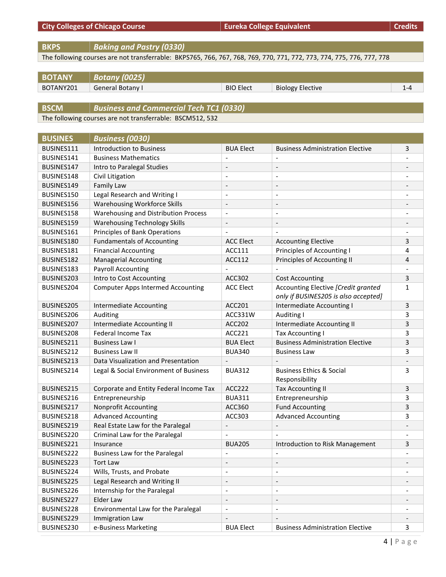| <b>City Colleges of Chicago Course</b> | Eureka College Equivalent | Credits |
|----------------------------------------|---------------------------|---------|
|                                        |                           |         |

**BKPS** *Baking and Pastry (0330)*

The following courses are not transferrable: BKPS765, 766, 767, 768, 769, 770, 771, 772, 773, 774, 775, 776, 777, 778

| <b>BOTANY</b> | Botany (0025)    |                  |                         |  |
|---------------|------------------|------------------|-------------------------|--|
| BOTANY201     | General Botany I | <b>BIO Elect</b> | <b>Biology Elective</b> |  |

**BSCM** *Business and Commercial Tech TC1 (0330)*

The following courses are not transferrable: BSCM512, 532

| <b>BUSINES</b> | <b>Business (0030)</b>                   |                          |                                                                             |              |
|----------------|------------------------------------------|--------------------------|-----------------------------------------------------------------------------|--------------|
| BUSINES111     | <b>Introduction to Business</b>          | <b>BUA Elect</b>         | <b>Business Administration Elective</b>                                     | 3            |
| BUSINES141     | <b>Business Mathematics</b>              | $\overline{\phantom{a}}$ | $\overline{a}$                                                              |              |
| BUSINES147     | Intro to Paralegal Studies               | $\overline{a}$           | $\overline{\phantom{a}}$                                                    |              |
| BUSINES148     | Civil Litigation                         | $\overline{a}$           | $\overline{a}$                                                              |              |
| BUSINES149     | Family Law                               | $\overline{a}$           | $\overline{\phantom{a}}$                                                    |              |
| BUSINES150     | Legal Research and Writing I             | $\overline{a}$           | $\qquad \qquad \blacksquare$                                                |              |
| BUSINES156     | <b>Warehousing Workforce Skills</b>      | $\overline{\phantom{a}}$ | $\overline{\phantom{a}}$                                                    |              |
| BUSINES158     | Warehousing and Distribution Process     | $\overline{a}$           | $\overline{a}$                                                              |              |
| BUSINES159     | <b>Warehousing Technology Skills</b>     | $\overline{\phantom{m}}$ | $\qquad \qquad \blacksquare$                                                |              |
| BUSINES161     | Principles of Bank Operations            |                          |                                                                             |              |
| BUSINES180     | <b>Fundamentals of Accounting</b>        | <b>ACC Elect</b>         | <b>Accounting Elective</b>                                                  | 3            |
| BUSINES181     | <b>Financial Accounting</b>              | ACC111                   | Principles of Accounting I                                                  | 4            |
| BUSINES182     | <b>Managerial Accounting</b>             | ACC112                   | Principles of Accounting II                                                 | 4            |
| BUSINES183     | <b>Payroll Accounting</b>                |                          |                                                                             |              |
| BUSINES203     | Intro to Cost Accounting                 | ACC302                   | <b>Cost Accounting</b>                                                      | 3            |
| BUSINES204     | <b>Computer Apps Intermed Accounting</b> | <b>ACC Elect</b>         | Accounting Elective [Credit granted<br>only if BUSINES205 is also accepted] | $\mathbf{1}$ |
| BUSINES205     | Intermediate Accounting                  | ACC201                   | Intermediate Accounting I                                                   | 3            |
| BUSINES206     | Auditing                                 | ACC331W                  | Auditing I                                                                  | 3            |
| BUSINES207     | Intermediate Accounting II               | <b>ACC202</b>            | Intermediate Accounting II                                                  | 3            |
| BUSINES208     | <b>Federal Income Tax</b>                | <b>ACC221</b>            | Tax Accounting I                                                            | 3            |
| BUSINES211     | <b>Business Law I</b>                    | <b>BUA Elect</b>         | <b>Business Administration Elective</b>                                     | 3            |
| BUSINES212     | <b>Business Law II</b>                   | <b>BUA340</b>            | <b>Business Law</b>                                                         | 3            |
| BUSINES213     | Data Visualization and Presentation      |                          |                                                                             |              |
| BUSINES214     | Legal & Social Environment of Business   | <b>BUA312</b>            | <b>Business Ethics &amp; Social</b><br>Responsibility                       | 3            |
| BUSINES215     | Corporate and Entity Federal Income Tax  | <b>ACC222</b>            | <b>Tax Accounting II</b>                                                    | 3            |
| BUSINES216     | Entrepreneurship                         | <b>BUA311</b>            | Entrepreneurship                                                            | 3            |
| BUSINES217     | Nonprofit Accounting                     | ACC360                   | <b>Fund Accounting</b>                                                      | 3            |
| BUSINES218     | <b>Advanced Accounting</b>               | ACC303                   | <b>Advanced Accounting</b>                                                  | 3            |
| BUSINES219     | Real Estate Law for the Paralegal        |                          |                                                                             |              |
| BUSINES220     | Criminal Law for the Paralegal           |                          |                                                                             |              |
| BUSINES221     | Insurance                                | <b>BUA205</b>            | Introduction to Risk Management                                             | 3            |
| BUSINES222     | Business Law for the Paralegal           | $\overline{a}$           | $\overline{\phantom{a}}$                                                    |              |
| BUSINES223     | <b>Tort Law</b>                          | $\overline{\phantom{m}}$ |                                                                             |              |
| BUSINES224     | Wills, Trusts, and Probate               | $\overline{\phantom{a}}$ | $\qquad \qquad \blacksquare$                                                |              |
| BUSINES225     | Legal Research and Writing II            | $\overline{\phantom{a}}$ | $\overline{\phantom{a}}$                                                    |              |
| BUSINES226     | Internship for the Paralegal             | $\overline{\phantom{a}}$ | $\overline{\phantom{a}}$                                                    |              |
| BUSINES227     | Elder Law                                | $\overline{\phantom{a}}$ | $\qquad \qquad \blacksquare$                                                |              |
| BUSINES228     | Environmental Law for the Paralegal      | $\overline{a}$           | $\overline{\phantom{a}}$                                                    |              |
| BUSINES229     | Immigration Law                          | $\overline{\phantom{a}}$ | $\overline{\phantom{m}}$                                                    |              |
| BUSINES230     | e-Business Marketing                     | <b>BUA Elect</b>         | <b>Business Administration Elective</b>                                     | 3            |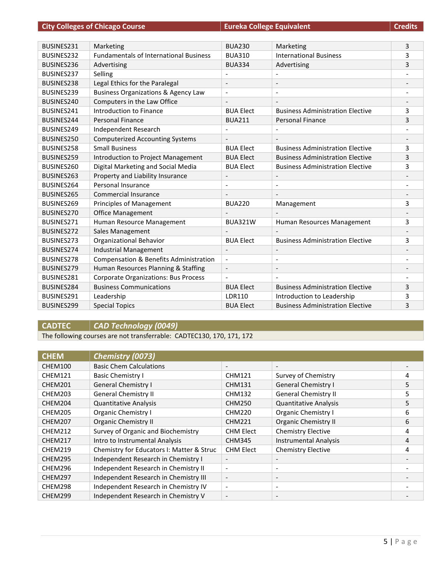| <b>City Colleges of Chicago Course</b> |
|----------------------------------------|
|----------------------------------------|

**COLLEGES OF COLLEGES COLLEGES EQUIVALENT Credits** 

| Marketing                                         | <b>BUA230</b>                | Marketing                               | 3 |
|---------------------------------------------------|------------------------------|-----------------------------------------|---|
| <b>Fundamentals of International Business</b>     | <b>BUA310</b>                | <b>International Business</b>           | 3 |
| Advertising                                       | <b>BUA334</b>                | Advertising                             | 3 |
| Selling                                           |                              |                                         |   |
| Legal Ethics for the Paralegal                    | $\overline{\phantom{0}}$     | $\overline{\phantom{a}}$                |   |
| <b>Business Organizations &amp; Agency Law</b>    | $\overline{a}$               | $\overline{\phantom{a}}$                |   |
| Computers in the Law Office                       |                              |                                         |   |
| Introduction to Finance                           | <b>BUA Flect</b>             | <b>Business Administration Flective</b> | 3 |
| <b>Personal Finance</b>                           | <b>BUA211</b>                | Personal Finance                        | 3 |
| Independent Research                              |                              |                                         |   |
| <b>Computerized Accounting Systems</b>            | $\overline{\phantom{a}}$     |                                         |   |
| <b>Small Business</b>                             | <b>BUA Flect</b>             | <b>Business Administration Elective</b> | 3 |
| Introduction to Project Management                | <b>BUA Elect</b>             | <b>Business Administration Elective</b> | 3 |
| Digital Marketing and Social Media                | <b>BUA Elect</b>             | <b>Business Administration Elective</b> | 3 |
| Property and Liability Insurance                  | $\overline{\phantom{m}}$     | $\overline{\phantom{a}}$                |   |
| <b>Personal Insurance</b>                         | $\overline{\phantom{0}}$     | ٠                                       |   |
| Commercial Insurance                              |                              |                                         |   |
| <b>Principles of Management</b>                   | <b>BUA220</b>                | Management                              | 3 |
| Office Management                                 |                              |                                         |   |
| Human Resource Management                         | <b>BUA321W</b>               | Human Resources Management              | 3 |
| Sales Management                                  |                              |                                         |   |
| Organizational Behavior                           | <b>BUA Elect</b>             | <b>Business Administration Elective</b> | 3 |
| <b>Industrial Management</b>                      | $\overline{\phantom{a}}$     | $\overline{\phantom{a}}$                |   |
| <b>Compensation &amp; Benefits Administration</b> | $\overline{a}$               | $\overline{\phantom{a}}$                |   |
| Human Resources Planning & Staffing               | $\qquad \qquad \blacksquare$ | $\overline{\phantom{a}}$                |   |
| <b>Corporate Organizations: Bus Process</b>       |                              |                                         |   |
| <b>Business Communications</b>                    | <b>BUA Elect</b>             | <b>Business Administration Elective</b> | 3 |
| Leadership                                        | <b>LDR110</b>                | Introduction to Leadership              | 3 |
| <b>Special Topics</b>                             | <b>BUA Elect</b>             | <b>Business Administration Elective</b> | 3 |
|                                                   |                              |                                         |   |

**CADTEC** *CAD Technology (0049)*

The following courses are not transferrable: CADTEC130, 170, 171, 172

| <b>CHEM</b>    | Chemistry (0073)                          |                          |                              |   |
|----------------|-------------------------------------------|--------------------------|------------------------------|---|
| CHEM100        | <b>Basic Chem Calculations</b>            | $\overline{\phantom{a}}$ |                              |   |
| CHEM121        | <b>Basic Chemistry I</b>                  | <b>CHM121</b>            | Survey of Chemistry          | 4 |
| CHEM201        | <b>General Chemistry I</b>                | <b>CHM131</b>            | <b>General Chemistry I</b>   | 5 |
| CHEM203        | <b>General Chemistry II</b>               | <b>CHM132</b>            | <b>General Chemistry II</b>  | 5 |
| CHEM204        | <b>Quantitative Analysis</b>              | <b>CHM250</b>            | <b>Quantitative Analysis</b> | 5 |
| CHEM205        | Organic Chemistry I                       | <b>CHM220</b>            | Organic Chemistry I          | 6 |
| <b>CHEM207</b> | <b>Organic Chemistry II</b>               | <b>CHM221</b>            | <b>Organic Chemistry II</b>  | 6 |
| CHEM212        | Survey of Organic and Biochemistry        | <b>CHM Elect</b>         | <b>Chemistry Elective</b>    | 4 |
| CHEM217        | Intro to Instrumental Analysis            | <b>CHM345</b>            | <b>Instrumental Analysis</b> | 4 |
| CHEM219        | Chemistry for Educators I: Matter & Struc | <b>CHM Elect</b>         | <b>Chemistry Elective</b>    | 4 |
| CHEM295        | Independent Research in Chemistry I       | $\overline{\phantom{a}}$ |                              |   |
| CHEM296        | Independent Research in Chemistry II      | $\overline{\phantom{a}}$ | $\qquad \qquad \blacksquare$ |   |
| CHEM297        | Independent Research in Chemistry III     | $\overline{\phantom{a}}$ | -                            |   |
| CHEM298        | Independent Research in Chemistry IV      | $\overline{\phantom{a}}$ | $\overline{\phantom{0}}$     |   |
| CHEM299        | Independent Research in Chemistry V       | $\overline{\phantom{a}}$ |                              |   |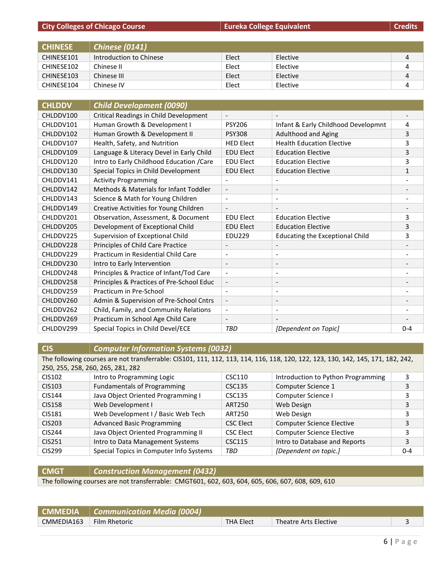**City Colleges of Chicago Course EURE ACCESS EURE EQUIVALENT COLLEGES EQUIVALENT COLLEGES Credits** 

| <b>CHINESE</b> | <b>Chinese (0141)</b>   |       |          |   |
|----------------|-------------------------|-------|----------|---|
| CHINESE101     | Introduction to Chinese | Elect | Elective | 4 |
| CHINESE102     | Chinese II              | Elect | Elective | 4 |
| CHINESE103     | Chinese III             | Elect | Elective | 4 |
| CHINESE104     | Chinese IV              | Elect | Elective |   |

| <b>CHLDDV</b> | <b>Child Development (0090)</b>           |                          |                                        |              |
|---------------|-------------------------------------------|--------------------------|----------------------------------------|--------------|
| CHLDDV100     | Critical Readings in Child Development    | $\overline{\phantom{a}}$ |                                        |              |
| CHLDDV101     | Human Growth & Development I              | <b>PSY206</b>            | Infant & Early Childhood Developmnt    | 4            |
| CHLDDV102     | Human Growth & Development II             | <b>PSY308</b>            | Adulthood and Aging                    | 3            |
| CHLDDV107     | Health, Safety, and Nutrition             | <b>HED Elect</b>         | <b>Health Education Elective</b>       | 3            |
| CHLDDV109     | Language & Literacy Devel in Early Child  | <b>EDU Elect</b>         | <b>Education Elective</b>              | 3            |
| CHLDDV120     | Intro to Early Childhood Education / Care | <b>EDU Elect</b>         | <b>Education Elective</b>              | 3            |
| CHLDDV130     | Special Topics in Child Development       | <b>EDU Elect</b>         | <b>Education Elective</b>              | $\mathbf{1}$ |
| CHLDDV141     | <b>Activity Programming</b>               |                          |                                        |              |
| CHLDDV142     | Methods & Materials for Infant Toddler    | $\overline{\phantom{a}}$ | $\overline{\phantom{a}}$               |              |
| CHLDDV143     | Science & Math for Young Children         |                          |                                        |              |
| CHLDDV149     | Creative Activities for Young Children    |                          |                                        |              |
| CHLDDV201     | Observation, Assessment, & Document       | <b>EDU Elect</b>         | <b>Education Elective</b>              | 3            |
| CHLDDV205     | Development of Exceptional Child          | <b>EDU Elect</b>         | <b>Education Elective</b>              | 3            |
| CHLDDV225     | Supervision of Exceptional Child          | <b>EDU229</b>            | <b>Educating the Exceptional Child</b> | 3            |
| CHLDDV228     | Principles of Child Care Practice         | $\overline{\phantom{a}}$ | $\overline{\phantom{a}}$               |              |
| CHLDDV229     | Practicum in Residential Child Care       | $\overline{\phantom{a}}$ | $\overline{\phantom{a}}$               |              |
| CHLDDV230     | Intro to Early Intervention               | $\overline{\phantom{a}}$ |                                        |              |
| CHLDDV248     | Principles & Practice of Infant/Tod Care  | $\overline{\phantom{a}}$ | $\overline{\phantom{a}}$               |              |
| CHLDDV258     | Principles & Practices of Pre-School Educ | $\overline{\phantom{a}}$ | $\overline{\phantom{a}}$               |              |
| CHLDDV259     | Practicum in Pre-School                   | $\overline{\phantom{a}}$ | $\overline{\phantom{a}}$               |              |
| CHLDDV260     | Admin & Supervision of Pre-School Cntrs   | $\overline{\phantom{a}}$ | $\overline{\phantom{a}}$               |              |
| CHLDDV262     | Child, Family, and Community Relations    | $\overline{\phantom{a}}$ | $\overline{\phantom{a}}$               |              |
| CHLDDV269     | Practicum in School Age Child Care        |                          |                                        |              |
| CHLDDV299     | Special Topics in Child Devel/ECE         | <b>TBD</b>               | [Dependent on Topic]                   | $0 - 4$      |

# **CIS** *Computer Information Systems (0032)*

The following courses are not transferrable: CIS101, 111, 112, 113, 114, 116, 118, 120, 122, 123, 130, 142, 145, 171, 182, 242, 250, 255, 258, 260, 265, 281, 282

| CIS102        | Intro to Programming Logic              | CSC110           | Introduction to Python Programming |         |
|---------------|-----------------------------------------|------------------|------------------------------------|---------|
| CIS103        | <b>Fundamentals of Programming</b>      | CSC135           | Computer Science 1                 | 3       |
| CIS144        | Java Object Oriented Programming I      | CSC135           | Computer Science I                 |         |
| <b>CIS158</b> | Web Development I                       | ART250           | Web Design                         | 3       |
| <b>CIS181</b> | Web Development I / Basic Web Tech      | ART250           | Web Design                         |         |
| <b>CIS203</b> | <b>Advanced Basic Programming</b>       | <b>CSC Elect</b> | <b>Computer Science Elective</b>   | 3       |
| <b>CIS244</b> | Java Object Oriented Programming II     | <b>CSC Elect</b> | <b>Computer Science Elective</b>   |         |
| CIS251        | Intro to Data Management Systems        | <b>CSC115</b>    | Intro to Database and Reports      | 3       |
| <b>CIS299</b> | Special Topics in Computer Info Systems | TBD              | [Dependent on topic.]              | $0 - 4$ |

**CMGT** *Construction Management (0432)*

The following courses are not transferrable: CMGT601, 602, 603, 604, 605, 606, 607, 608, 609, 610

| <b>CMMEDIA</b> | $\vert$ Communication Media (0004) |                  |                       |  |
|----------------|------------------------------------|------------------|-----------------------|--|
| CMMEDIA163     | Film Rhetoric                      | <b>THA Elect</b> | Theatre Arts Elective |  |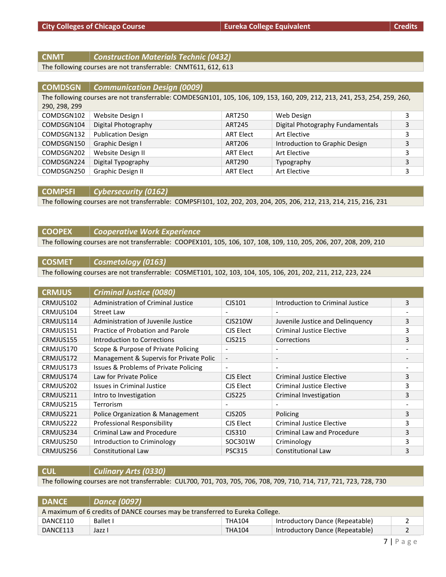# **CNMT** *Construction Materials Technic (0432)*

The following courses are not transferrable: CNMT611, 612, 613

| <b>COMDSGN</b> | <b>Communication Design (0009)</b>                                                                                         |                  |                                  |   |
|----------------|----------------------------------------------------------------------------------------------------------------------------|------------------|----------------------------------|---|
|                | The following courses are not transferrable: COMDESGN101, 105, 106, 109, 153, 160, 209, 212, 213, 241, 253, 254, 259, 260, |                  |                                  |   |
| 290, 298, 299  |                                                                                                                            |                  |                                  |   |
| COMDSGN102     | Website Design I                                                                                                           | ART250           | Web Design                       | 3 |
| COMDSGN104     | Digital Photography                                                                                                        | ART245           | Digital Photography Fundamentals | 3 |
| COMDSGN132     | <b>Publication Design</b>                                                                                                  | <b>ART Elect</b> | Art Elective                     | 3 |
| COMDSGN150     | Graphic Design I                                                                                                           | ART206           | Introduction to Graphic Design   | 3 |
| COMDSGN202     | Website Design II                                                                                                          | <b>ART Elect</b> | Art Elective                     | 3 |
| COMDSGN224     | Digital Typography                                                                                                         | ART290           | Typography                       | 3 |
| COMDSGN250     | Graphic Design II                                                                                                          | <b>ART Elect</b> | Art Elective                     | 3 |

#### **COMPSFI** *Cybersecurity (0162)*

The following courses are not transferrable: COMPSFI101, 102, 202, 203, 204, 205, 206, 212, 213, 214, 215, 216, 231

# **COOPEX** *Cooperative Work Experience* The following courses are not transferrable: COOPEX101, 105, 106, 107, 108, 109, 110, 205, 206, 207, 208, 209, 210

#### **COSMET** *Cosmetology (0163)*

The following courses are not transferrable: COSMET101, 102, 103, 104, 105, 106, 201, 202, 211, 212, 223, 224

| <b>CRMJUS</b> | <b>Criminal Justice (0080)</b>          |                          |                                   |   |
|---------------|-----------------------------------------|--------------------------|-----------------------------------|---|
| CRMJUS102     | Administration of Criminal Justice      | CJS101                   | Introduction to Criminal Justice  | 3 |
| CRMJUS104     | Street Law                              |                          |                                   |   |
| CRMJUS114     | Administration of Juvenile Justice      | CJS210W                  | Juvenile Justice and Delinquency  | 3 |
| CRMJUS151     | Practice of Probation and Parole        | CJS Elect                | Criminal Justice Elective         | 3 |
| CRMJUS155     | Introduction to Corrections             | CJS215                   | Corrections                       | 3 |
| CRMJUS170     | Scope & Purpose of Private Policing     | $\overline{\phantom{a}}$ |                                   |   |
| CRMJUS172     | Management & Supervis for Private Polic | $\overline{\phantom{a}}$ | $\overline{\phantom{a}}$          |   |
| CRMJUS173     | Issues & Problems of Private Policing   | $\overline{\phantom{a}}$ | $\overline{\phantom{a}}$          |   |
| CRMJUS174     | Law for Private Police                  | CJS Elect                | Criminal Justice Elective         | 3 |
| CRMJUS202     | Issues in Criminal Justice              | CJS Elect                | Criminal Justice Elective         | 3 |
| CRMJUS211     | Intro to Investigation                  | CJS225                   | Criminal Investigation            | 3 |
| CRMJUS215     | Terrorism                               | $\overline{\phantom{a}}$ |                                   |   |
| CRMJUS221     | Police Organization & Management        | CJS205                   | Policing                          | 3 |
| CRMJUS222     | Professional Responsibility             | CJS Elect                | <b>Criminal Justice Elective</b>  | 3 |
| CRMJUS234     | <b>Criminal Law and Procedure</b>       | CJS310                   | <b>Criminal Law and Procedure</b> | 3 |
| CRMJUS250     | Introduction to Criminology             | SOC301W                  | Criminology                       | 3 |
| CRMJUS256     | <b>Constitutional Law</b>               | <b>PSC315</b>            | <b>Constitutional Law</b>         | 3 |

**CUL** *Culinary Arts (0330)*

The following courses are not transferrable: CUL700, 701, 703, 705, 706, 708, 709, 710, 714, 717, 721, 723, 728, 730

| <b>DANCE</b>                                                                  | Dance (0097) |               |                                 |  |
|-------------------------------------------------------------------------------|--------------|---------------|---------------------------------|--|
| A maximum of 6 credits of DANCE courses may be transferred to Eureka College. |              |               |                                 |  |
| DANCE110                                                                      | Ballet I     | THA104        | Introductory Dance (Repeatable) |  |
| DANCE113                                                                      | Jazz I       | <b>THA104</b> | Introductory Dance (Repeatable) |  |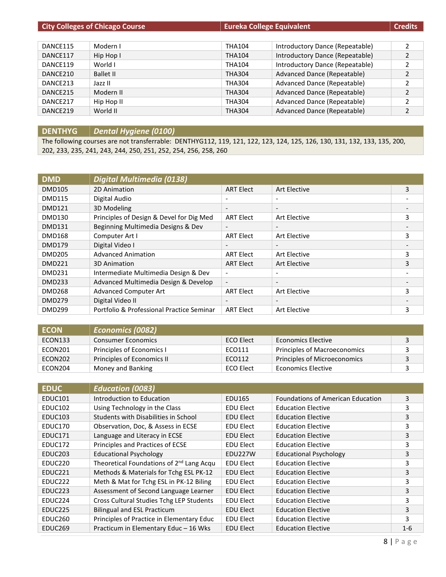|          | <b>City Colleges of Chicago Course</b> | Eureka College Equivalent |                                 | <b>Credits</b> |
|----------|----------------------------------------|---------------------------|---------------------------------|----------------|
|          |                                        |                           |                                 |                |
| DANCE115 | Modern I                               | <b>THA104</b>             | Introductory Dance (Repeatable) | 2              |
| DANCE117 | Hip Hop I                              | <b>THA104</b>             | Introductory Dance (Repeatable) | $\overline{2}$ |
| DANCE119 | World I                                | <b>THA104</b>             | Introductory Dance (Repeatable) | 2              |
| DANCE210 | <b>Ballet II</b>                       | <b>THA304</b>             | Advanced Dance (Repeatable)     | $\overline{2}$ |
| DANCE213 | Jazz II                                | <b>THA304</b>             | Advanced Dance (Repeatable)     | 2              |
| DANCE215 | Modern II                              | <b>THA304</b>             | Advanced Dance (Repeatable)     | $\mathcal{P}$  |
| DANCE217 | Hip Hop II                             | <b>THA304</b>             | Advanced Dance (Repeatable)     | $\mathfrak z$  |
| DANCE219 | World II                               | <b>THA304</b>             | Advanced Dance (Repeatable)     | 2              |

**DENTHYG** *Dental Hygiene (0100)*

The following courses are not transferrable: DENTHYG112, 119, 121, 122, 123, 124, 125, 126, 130, 131, 132, 133, 135, 200, 202, 233, 235, 241, 243, 244, 250, 251, 252, 254, 256, 258, 260

| <b>DMD</b>    | Digital Multimedia (0138)                 |                          |                          |   |
|---------------|-------------------------------------------|--------------------------|--------------------------|---|
| <b>DMD105</b> | 2D Animation                              | <b>ART Elect</b>         | <b>Art Elective</b>      | 3 |
| <b>DMD115</b> | Digital Audio                             | $\overline{\phantom{a}}$ | $\overline{\phantom{0}}$ |   |
| <b>DMD121</b> | 3D Modeling                               | $\overline{\phantom{a}}$ | $\overline{\phantom{a}}$ |   |
| <b>DMD130</b> | Principles of Design & Devel for Dig Med  | <b>ART Elect</b>         | Art Elective             | 3 |
| <b>DMD131</b> | Beginning Multimedia Designs & Dev        | $\overline{\phantom{a}}$ | $\overline{\phantom{0}}$ |   |
| <b>DMD168</b> | Computer Art I                            | <b>ART Elect</b>         | Art Elective             | 3 |
| <b>DMD179</b> | Digital Video I                           | $\overline{\phantom{a}}$ | $\overline{\phantom{0}}$ |   |
| <b>DMD205</b> | <b>Advanced Animation</b>                 | <b>ART Elect</b>         | Art Elective             | 3 |
| <b>DMD221</b> | 3D Animation                              | <b>ART Elect</b>         | <b>Art Elective</b>      | 3 |
| <b>DMD231</b> | Intermediate Multimedia Design & Dev      | $\overline{\phantom{a}}$ | ٠                        |   |
| <b>DMD233</b> | Advanced Multimedia Design & Develop      | $\overline{\phantom{a}}$ | $\overline{\phantom{a}}$ |   |
| <b>DMD268</b> | <b>Advanced Computer Art</b>              | <b>ART Elect</b>         | Art Elective             | 3 |
| <b>DMD279</b> | Digital Video II                          | $\overline{\phantom{a}}$ |                          |   |
| <b>DMD299</b> | Portfolio & Professional Practice Seminar | <b>ART Elect</b>         | Art Elective             | 3 |

| <b>ECON</b> | <b>Economics (0082)</b>    |                  |                              |  |
|-------------|----------------------------|------------------|------------------------------|--|
| ECON133     | <b>Consumer Economics</b>  | <b>ECO Elect</b> | Economics Elective           |  |
| ECON201     | Principles of Economics I  | ECO111           | Principles of Macroeconomics |  |
| ECON202     | Principles of Economics II | ECO112           | Principles of Microeconomics |  |
| ECON204     | Money and Banking          | ECO Elect        | Economics Elective           |  |

| <b>EDUC</b>         | <b>Education (0083)</b>                              |                  |                                          |         |
|---------------------|------------------------------------------------------|------------------|------------------------------------------|---------|
| <b>EDUC101</b>      | Introduction to Education                            | EDU165           | <b>Foundations of American Education</b> | 3       |
| EDUC <sub>102</sub> | Using Technology in the Class                        | EDU Elect        | <b>Education Elective</b>                | 3       |
| EDUC103             | Students with Disabilities in School                 | <b>EDU Elect</b> | <b>Education Elective</b>                | 3       |
| EDUC170             | Observation, Doc, & Assess in ECSE                   | EDU Elect        | <b>Education Elective</b>                | 3       |
| EDUC171             | Language and Literacy in ECSE                        | <b>EDU Elect</b> | <b>Education Elective</b>                | 3       |
| EDUC172             | Principles and Practices of ECSE                     | EDU Elect        | <b>Education Elective</b>                | 3       |
| EDUC <sub>203</sub> | <b>Educational Psychology</b>                        | EDU227W          | <b>Educational Psychology</b>            | 3       |
| EDUC220             | Theoretical Foundations of 2 <sup>nd</sup> Lang Acqu | <b>EDU Elect</b> | <b>Education Elective</b>                | 3       |
| EDUC <sub>221</sub> | Methods & Materials for Tchg ESL PK-12               | <b>EDU Elect</b> | <b>Education Elective</b>                | 3       |
| EDUC <sub>222</sub> | Meth & Mat for Tchg ESL in PK-12 Biling              | EDU Elect        | <b>Education Elective</b>                | 3       |
| EDUC <sub>223</sub> | Assessment of Second Language Learner                | <b>EDU Elect</b> | <b>Education Elective</b>                | 3       |
| EDUC <sub>224</sub> | Cross Cultural Studies Tchg LEP Students             | <b>EDU Elect</b> | <b>Education Elective</b>                | 3       |
| EDUC <sub>225</sub> | <b>Bilingual and ESL Practicum</b>                   | <b>EDU Elect</b> | <b>Education Elective</b>                | 3       |
| EDUC <sub>260</sub> | Principles of Practice in Elementary Educ            | <b>EDU Elect</b> | <b>Education Elective</b>                | 3       |
| EDUC <sub>269</sub> | Practicum in Elementary Educ - 16 Wks                | <b>EDU Elect</b> | <b>Education Elective</b>                | $1 - 6$ |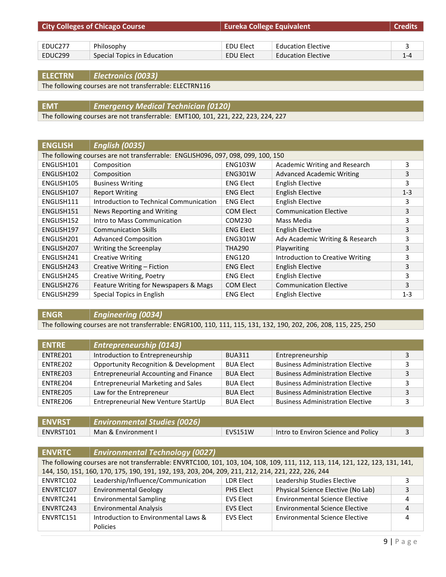| <b>City Colleges of Chicago Course</b> |                             | <b>Eureka College Equivalent</b> |                           | <b>Credits</b> |
|----------------------------------------|-----------------------------|----------------------------------|---------------------------|----------------|
|                                        |                             |                                  |                           |                |
| EDUC277                                | Philosophy                  | EDU Elect                        | <b>Education Elective</b> |                |
| EDUC299                                | Special Topics in Education | EDU Elect                        | <b>Education Elective</b> | $1 - 4$        |

**ELECTRN** *Electronics (0033)*

The following courses are not transferrable: ELECTRN116

**EMT** *Emergency Medical Technician (0120)*

The following courses are not transferrable: EMT100, 101, 221, 222, 223, 224, 227

| <b>ENGLISH</b> | <b>English (0035)</b>                                                            |                  |                                  |         |
|----------------|----------------------------------------------------------------------------------|------------------|----------------------------------|---------|
|                | The following courses are not transferrable: ENGLISH096, 097, 098, 099, 100, 150 |                  |                                  |         |
| ENGLISH101     | Composition                                                                      | <b>ENG103W</b>   | Academic Writing and Research    | 3       |
| ENGLISH102     | Composition                                                                      | <b>ENG301W</b>   | <b>Advanced Academic Writing</b> | 3       |
| ENGLISH105     | <b>Business Writing</b>                                                          | <b>ENG Elect</b> | English Elective                 | 3       |
| ENGLISH107     | <b>Report Writing</b>                                                            | <b>ENG Elect</b> | <b>English Elective</b>          | $1 - 3$ |
| ENGLISH111     | Introduction to Technical Communication                                          | <b>ENG Elect</b> | <b>English Elective</b>          | 3       |
| ENGLISH151     | News Reporting and Writing                                                       | <b>COM Elect</b> | <b>Communication Elective</b>    | 3       |
| ENGLISH152     | Intro to Mass Communication                                                      | COM230           | Mass Media                       | 3       |
| ENGLISH197     | <b>Communication Skills</b>                                                      | <b>ENG Elect</b> | <b>English Elective</b>          | 3       |
| ENGLISH201     | <b>Advanced Composition</b>                                                      | <b>ENG301W</b>   | Adv Academic Writing & Research  | 3       |
| ENGLISH207     | Writing the Screenplay                                                           | <b>THA290</b>    | Playwriting                      | 3       |
| ENGLISH241     | <b>Creative Writing</b>                                                          | <b>ENG120</b>    | Introduction to Creative Writing | 3       |
| ENGLISH243     | Creative Writing - Fiction                                                       | <b>ENG Elect</b> | <b>English Elective</b>          | 3       |
| ENGLISH245     | Creative Writing, Poetry                                                         | <b>ENG Elect</b> | English Elective                 | 3       |
| ENGLISH276     | Feature Writing for Newspapers & Mags                                            | <b>COM Elect</b> | <b>Communication Elective</b>    | 3       |
| ENGLISH299     | Special Topics in English                                                        | <b>ENG Elect</b> | English Elective                 | $1 - 3$ |

**ENGR** *Engineering (0034)*

The following courses are not transferrable: ENGR100, 110, 111, 115, 131, 132, 190, 202, 206, 208, 115, 225, 250

| <b>ENTRE</b> | <b>Entrepreneurship (0143)</b>                   |                  |                                         |    |
|--------------|--------------------------------------------------|------------------|-----------------------------------------|----|
| ENTRE201     | Introduction to Entrepreneurship                 | <b>BUA311</b>    | Entrepreneurship                        |    |
| ENTRE202     | <b>Opportunity Recognition &amp; Development</b> | <b>BUA Elect</b> | <b>Business Administration Elective</b> |    |
| ENTRE203     | <b>Entrepreneurial Accounting and Finance</b>    | <b>BUA Elect</b> | <b>Business Administration Elective</b> | 3  |
| ENTRE204     | <b>Entrepreneurial Marketing and Sales</b>       | <b>BUA Elect</b> | <b>Business Administration Elective</b> | ີຊ |
| ENTRE205     | Law for the Entrepreneur                         | <b>BUA Elect</b> | <b>Business Administration Elective</b> | 3  |
| ENTRE206     | Entrepreneurial New Venture StartUp              | <b>BUA Elect</b> | <b>Business Administration Elective</b> |    |

| <b>ENVRST</b> | <b>Environmental Studies (0026)</b> |                |                                     |  |
|---------------|-------------------------------------|----------------|-------------------------------------|--|
| ENVRST101     | Man & Environment I                 | <b>EVS151W</b> | Intro to Environ Science and Policy |  |

| <b>ENVRTC</b> | <b>Environmental Technology (0027)</b>                                                                                        |                  |                                       |   |
|---------------|-------------------------------------------------------------------------------------------------------------------------------|------------------|---------------------------------------|---|
|               | The following courses are not transferrable: ENVRTC100, 101, 103, 104, 108, 109, 111, 112, 113, 114, 121, 122, 123, 131, 141, |                  |                                       |   |
|               | 144, 150, 151, 160, 170, 175, 190, 191, 192, 193, 203, 204, 209, 211, 212, 214, 221, 222, 226, 244                            |                  |                                       |   |
| ENVRTC102     | Leadership/Influence/Communication                                                                                            | <b>LDR Elect</b> | Leadership Studies Elective           | 3 |
| ENVRTC107     | <b>Environmental Geology</b>                                                                                                  | PHS Elect        | Physical Science Elective (No Lab)    | 3 |
| ENVRTC241     | <b>Environmental Sampling</b>                                                                                                 | <b>EVS Elect</b> | <b>Environmental Science Elective</b> | 4 |
| ENVRTC243     | <b>Environmental Analysis</b>                                                                                                 | <b>EVS Elect</b> | <b>Environmental Science Elective</b> | 4 |
| ENVRTC151     | Introduction to Environmental Laws &                                                                                          | <b>EVS Elect</b> | <b>Environmental Science Elective</b> | 4 |
|               | Policies                                                                                                                      |                  |                                       |   |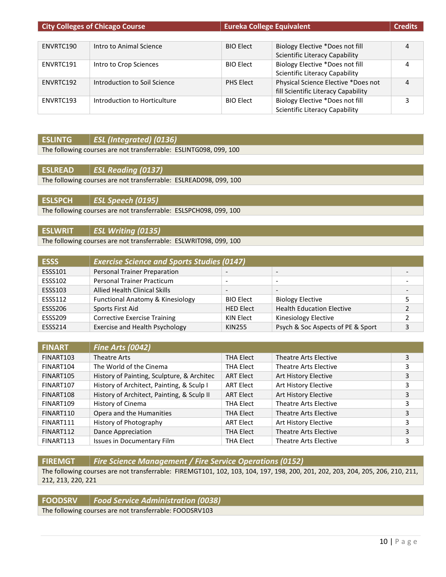|           | <b>City Colleges of Chicago Course</b> | <b>Eureka College Equivalent</b> |                                       | <b>Credits</b> |
|-----------|----------------------------------------|----------------------------------|---------------------------------------|----------------|
|           |                                        |                                  |                                       |                |
| ENVRTC190 | Intro to Animal Science                | <b>BIO Elect</b>                 | Biology Elective *Does not fill       | 4              |
|           |                                        |                                  | <b>Scientific Literacy Capability</b> |                |
| ENVRTC191 | Intro to Crop Sciences                 | <b>BIO Elect</b>                 | Biology Elective *Does not fill       | 4              |
|           |                                        |                                  | <b>Scientific Literacy Capability</b> |                |
| ENVRTC192 | Introduction to Soil Science           | <b>PHS Elect</b>                 | Physical Science Elective *Does not   | $\overline{a}$ |
|           |                                        |                                  | fill Scientific Literacy Capability   |                |
| ENVRTC193 | Introduction to Horticulture           | <b>BIO Elect</b>                 | Biology Elective *Does not fill       | 3              |
|           |                                        |                                  | <b>Scientific Literacy Capability</b> |                |

# **ESLINTG** *ESL (Integrated) (0136)*

The following courses are not transferrable: ESLINTG098, 099, 100

**ESLREAD** *ESL Reading (0137)* The following courses are not transferrable: ESLREAD098, 099, 100

**ESLSPCH** *ESL Speech (0195)* The following courses are not transferrable: ESLSPCH098, 099, 100

# **ESLWRIT** *ESL Writing (0135)*

The following courses are not transferrable: ESLWRIT098, 099, 100

| <b>ESSS</b>    | <b>Exercise Science and Sports Studies (0147)</b> |                  |                                   |   |
|----------------|---------------------------------------------------|------------------|-----------------------------------|---|
| ESSS101        | <b>Personal Trainer Preparation</b>               |                  |                                   |   |
| <b>ESSS102</b> | <b>Personal Trainer Practicum</b>                 |                  |                                   |   |
| <b>ESSS103</b> | <b>Allied Health Clinical Skills</b>              |                  |                                   |   |
| <b>ESSS112</b> | Functional Anatomy & Kinesiology                  | <b>BIO Elect</b> | <b>Biology Elective</b>           |   |
| <b>ESSS206</b> | Sports First Aid                                  | <b>HED Elect</b> | <b>Health Education Elective</b>  | C |
| <b>ESSS209</b> | <b>Corrective Exercise Training</b>               | KIN Elect        | Kinesiology Elective              |   |
| <b>ESSS214</b> | Exercise and Health Psychology                    | <b>KIN255</b>    | Psych & Soc Aspects of PE & Sport | 3 |

| <b>FINART</b> | <b>Fine Arts (0042)</b>                    |                  |                       |   |
|---------------|--------------------------------------------|------------------|-----------------------|---|
| FINART103     | Theatre Arts                               | <b>THA Elect</b> | Theatre Arts Elective | 3 |
| FINART104     | The World of the Cinema                    | THA Elect        | Theatre Arts Elective | 3 |
| FINART105     | History of Painting, Sculpture, & Architec | <b>ART Elect</b> | Art History Elective  | 3 |
| FINART107     | History of Architect, Painting, & Sculp I  | <b>ART Elect</b> | Art History Elective  | 3 |
| FINART108     | History of Architect, Painting, & Sculp II | <b>ART Elect</b> | Art History Elective  | 3 |
| FINART109     | History of Cinema                          | THA Elect        | Theatre Arts Elective | 3 |
| FINART110     | Opera and the Humanities                   | <b>THA Elect</b> | Theatre Arts Elective | 3 |
| FINART111     | History of Photography                     | <b>ART Elect</b> | Art History Elective  |   |
| FINART112     | Dance Appreciation                         | THA Elect        | Theatre Arts Elective | 3 |
| FINART113     | Issues in Documentary Film                 | <b>THA Elect</b> | Theatre Arts Elective | 3 |

**FIREMGT** *Fire Science Management / Fire Service Operations (0152)*

The following courses are not transferrable: FIREMGT101, 102, 103, 104, 197, 198, 200, 201, 202, 203, 204, 205, 206, 210, 211, 212, 213, 220, 221

|--|

The following courses are not transferrable: FOODSRV103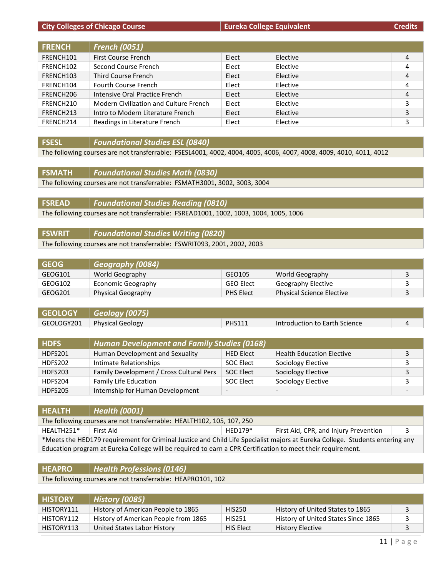**City Colleges of Chicago Course EURE ACCESS EURE EQUIVALENT COLLEGE EQUIVALENT COLLEGE EQUIVALERT COLLEGE EQUIVALERT COLLEGE EQUIVALERT COLLEGE EQUIVALERT COLLEGE EQUIVALERT COLLEGE EQUIVALERT COLLEGE EQUIVALERT COLLE** 

| <b>FRENCH</b> | <b>French (0051)</b>                   |       |          |   |
|---------------|----------------------------------------|-------|----------|---|
| FRENCH101     | <b>First Course French</b>             | Elect | Elective | 4 |
| FRENCH102     | Second Course French                   | Elect | Elective | 4 |
| FRENCH103     | Third Course French                    | Elect | Elective | 4 |
| FRENCH104     | <b>Fourth Course French</b>            | Elect | Elective | 4 |
| FRENCH206     | Intensive Oral Practice French         | Elect | Elective | 4 |
| FRENCH210     | Modern Civilization and Culture French | Elect | Elective | 3 |
| FRENCH213     | Intro to Modern Literature French      | Elect | Elective | 3 |
| FRENCH214     | Readings in Literature French          | Elect | Elective | 3 |

**FSESL** *Foundational Studies ESL (0840)*

The following courses are not transferrable: FSESL4001, 4002, 4004, 4005, 4006, 4007, 4008, 4009, 4010, 4011, 4012

**FSMATH** *Foundational Studies Math (0830)* The following courses are not transferrable: FSMATH3001, 3002, 3003, 3004

**FSREAD** *Foundational Studies Reading (0810)* The following courses are not transferrable: FSREAD1001, 1002, 1003, 1004, 1005, 1006

**FSWRIT** *Foundational Studies Writing (0820)* The following courses are not transferrable: FSWRIT093, 2001, 2002, 2003

| <b>GEOG</b> | Geography (0084)   |                  |                                  |  |
|-------------|--------------------|------------------|----------------------------------|--|
| GEOG101     | World Geography    | GEO105           | World Geography                  |  |
| GEOG102     | Economic Geography | <b>GEO Elect</b> | Geography Elective               |  |
| GEOG201     | Physical Geography | <b>PHS Elect</b> | <b>Physical Science Elective</b> |  |

| GEOLOGY   Geology (0075)      |               |                               |  |
|-------------------------------|---------------|-------------------------------|--|
| GEOLOGY201   Physical Geology | <b>PHS111</b> | Introduction to Earth Science |  |

| <b>HDFS</b> | <b>Human Development and Family Studies (0168)</b> |                          |                                  |  |
|-------------|----------------------------------------------------|--------------------------|----------------------------------|--|
| HDFS201     | Human Development and Sexuality                    | <b>HED Elect</b>         | <b>Health Education Elective</b> |  |
| HDFS202     | Intimate Relationships                             | SOC Elect                | Sociology Elective               |  |
| HDFS203     | Family Development / Cross Cultural Pers           | SOC Elect                | Sociology Elective               |  |
| HDFS204     | Family Life Education                              | SOC Elect                | Sociology Elective               |  |
| HDFS205     | Internship for Human Development                   | $\overline{\phantom{a}}$ | $\overline{\phantom{0}}$         |  |

| <b>HEALTH</b>                                                                                                                | Health (0001)                                                                                               |           |                                       |  |
|------------------------------------------------------------------------------------------------------------------------------|-------------------------------------------------------------------------------------------------------------|-----------|---------------------------------------|--|
| The following courses are not transferrable: HEALTH102, 105, 107, 250                                                        |                                                                                                             |           |                                       |  |
| HEALTH251*                                                                                                                   | First Aid                                                                                                   | $HFD179*$ | First Aid, CPR, and Injury Prevention |  |
| *Meets the HED179 requirement for Criminal Justice and Child Life Specialist majors at Eureka College. Students entering any |                                                                                                             |           |                                       |  |
|                                                                                                                              | Education program at Eureka College will be required to earn a CPR Certification to meet their requirement. |           |                                       |  |

# **HEAPRO** *Health Professions (0146)*

The following courses are not transferrable: HEAPRO101, 102

| <b>HISTORY</b> | <b>History (0085)</b>                |               |                                     |  |
|----------------|--------------------------------------|---------------|-------------------------------------|--|
| HISTORY111     | History of American People to 1865   | <b>HIS250</b> | History of United States to 1865    |  |
| HISTORY112     | History of American People from 1865 | <b>HIS251</b> | History of United States Since 1865 |  |
| HISTORY113     | United States Labor History          | HIS Elect     | <b>History Elective</b>             |  |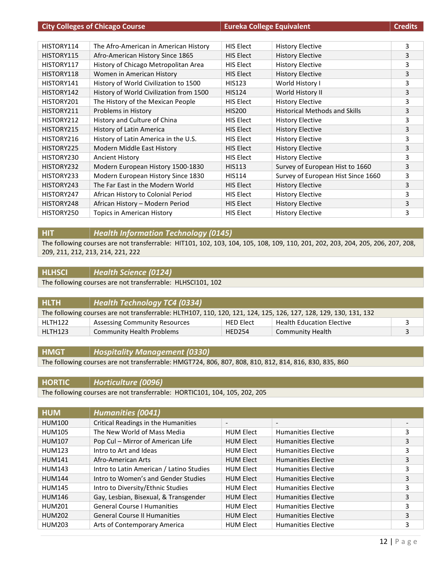|            | <b>City Colleges of Chicago Course</b>  | <b>Eureka College Equivalent</b> |                                      | <b>Credits</b> |
|------------|-----------------------------------------|----------------------------------|--------------------------------------|----------------|
|            |                                         |                                  |                                      |                |
| HISTORY114 | The Afro-American in American History   | <b>HIS Elect</b>                 | <b>History Elective</b>              | 3              |
| HISTORY115 | Afro-American History Since 1865        | <b>HIS Elect</b>                 | <b>History Elective</b>              | 3              |
| HISTORY117 | History of Chicago Metropolitan Area    | <b>HIS Elect</b>                 | <b>History Elective</b>              | 3              |
| HISTORY118 | Women in American History               | <b>HIS Elect</b>                 | <b>History Elective</b>              | 3              |
| HISTORY141 | History of World Civilization to 1500   | <b>HIS123</b>                    | World History I                      | 3              |
| HISTORY142 | History of World Civilization from 1500 | <b>HIS124</b>                    | World History II                     | 3              |
| HISTORY201 | The History of the Mexican People       | <b>HIS Elect</b>                 | <b>History Elective</b>              | 3              |
| HISTORY211 | Problems in History                     | <b>HIS200</b>                    | <b>Historical Methods and Skills</b> | 3              |
| HISTORY212 | History and Culture of China            | <b>HIS Elect</b>                 | <b>History Elective</b>              | 3              |
| HISTORY215 | History of Latin America                | <b>HIS Elect</b>                 | <b>History Elective</b>              | 3              |
| HISTORY216 | History of Latin America in the U.S.    | <b>HIS Elect</b>                 | <b>History Elective</b>              | 3              |
| HISTORY225 | Modern Middle East History              | <b>HIS Elect</b>                 | <b>History Elective</b>              | 3              |
| HISTORY230 | <b>Ancient History</b>                  | <b>HIS Elect</b>                 | <b>History Elective</b>              | 3              |
| HISTORY232 | Modern European History 1500-1830       | <b>HIS113</b>                    | Survey of European Hist to 1660      | 3              |
| HISTORY233 | Modern European History Since 1830      | <b>HIS114</b>                    | Survey of European Hist Since 1660   | 3              |
| HISTORY243 | The Far East in the Modern World        | <b>HIS Elect</b>                 | <b>History Elective</b>              | 3              |
| HISTORY247 | African History to Colonial Period      | <b>HIS Elect</b>                 | <b>History Elective</b>              | 3              |
| HISTORY248 | African History - Modern Period         | <b>HIS Elect</b>                 | <b>History Elective</b>              | 3              |
| HISTORY250 | Topics in American History              | <b>HIS Elect</b>                 | <b>History Elective</b>              | 3              |

#### **HIT** *Health Information Technology (0145)*

The following courses are not transferrable: HIT101, 102, 103, 104, 105, 108, 109, 110, 201, 202, 203, 204, 205, 206, 207, 208, 209, 211, 212, 213, 214, 221, 222

# **HLHSCI** *Health Science (0124)*

The following courses are not transferrable: HLHSCI101, 102

| <b>HLTH</b>                                                                                                      | $\vert$ Health Technology TC4 (0334) |                  |                                  |    |
|------------------------------------------------------------------------------------------------------------------|--------------------------------------|------------------|----------------------------------|----|
| The following courses are not transferrable: HLTH107, 110, 120, 121, 124, 125, 126, 127, 128, 129, 130, 131, 132 |                                      |                  |                                  |    |
| HLTH122                                                                                                          | <b>Assessing Community Resources</b> | <b>HED Elect</b> | <b>Health Education Elective</b> | ર  |
| HLTH123                                                                                                          | <b>Community Health Problems</b>     | <b>HED254</b>    | Community Health                 | ્ર |

# **HMGT** *Hospitality Management (0330)*

The following courses are not transferrable: HMGT724, 806, 807, 808, 810, 812, 814, 816, 830, 835, 860

#### **HORTIC** *Horticulture (0096)*

The following courses are not transferrable: HORTIC101, 104, 105, 202, 205

| <b>HUM</b>    | <b>Humanities (0041)</b>                 |                          |                            |   |
|---------------|------------------------------------------|--------------------------|----------------------------|---|
| <b>HUM100</b> | Critical Readings in the Humanities      | $\overline{\phantom{a}}$ | $\overline{\phantom{a}}$   |   |
| <b>HUM105</b> | The New World of Mass Media              | <b>HUM Elect</b>         | <b>Humanities Elective</b> | 3 |
| <b>HUM107</b> | Pop Cul - Mirror of American Life        | <b>HUM Elect</b>         | <b>Humanities Elective</b> | 3 |
| <b>HUM123</b> | Intro to Art and Ideas                   | <b>HUM Elect</b>         | <b>Humanities Elective</b> | 3 |
| <b>HUM141</b> | Afro-American Arts                       | <b>HUM Elect</b>         | <b>Humanities Elective</b> | 3 |
| <b>HUM143</b> | Intro to Latin American / Latino Studies | <b>HUM Elect</b>         | <b>Humanities Elective</b> | 3 |
| <b>HUM144</b> | Intro to Women's and Gender Studies      | <b>HUM Elect</b>         | <b>Humanities Elective</b> | 3 |
| <b>HUM145</b> | Intro to Diversity/Ethnic Studies        | <b>HUM Elect</b>         | <b>Humanities Elective</b> | 3 |
| <b>HUM146</b> | Gay, Lesbian, Bisexual, & Transgender    | <b>HUM Elect</b>         | <b>Humanities Elective</b> | 3 |
| HUM201        | <b>General Course I Humanities</b>       | <b>HUM Elect</b>         | <b>Humanities Elective</b> | 3 |
| <b>HUM202</b> | <b>General Course II Humanities</b>      | <b>HUM Elect</b>         | <b>Humanities Elective</b> | 3 |
| <b>HUM203</b> | Arts of Contemporary America             | <b>HUM Elect</b>         | <b>Humanities Elective</b> | 3 |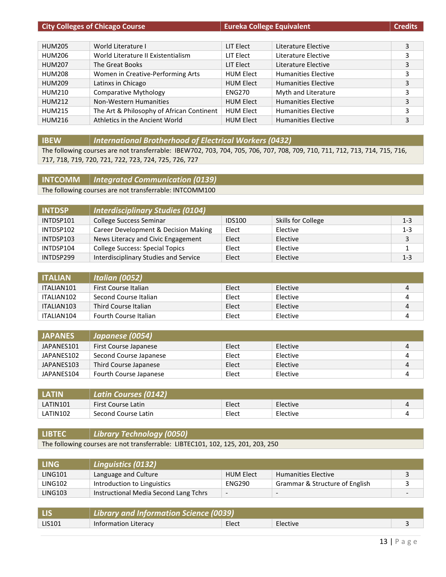| <b>City Colleges of Chicago Course</b> |                                           | <b>Eureka College Equivalent</b> |                            | <b>Credits</b> |
|----------------------------------------|-------------------------------------------|----------------------------------|----------------------------|----------------|
|                                        |                                           |                                  |                            |                |
| <b>HUM205</b>                          | World Literature I                        | LIT Elect                        | Literature Elective        | 3              |
| <b>HUM206</b>                          | World Literature II Existentialism        | LIT Elect                        | Literature Elective        | 3              |
| <b>HUM207</b>                          | The Great Books                           | LIT Elect                        | Literature Elective        | 3              |
| <b>HUM208</b>                          | Women in Creative-Performing Arts         | <b>HUM Elect</b>                 | <b>Humanities Elective</b> | 3              |
| <b>HUM209</b>                          | Latinxs in Chicago                        | <b>HUM Elect</b>                 | <b>Humanities Elective</b> | 3              |
| HUM210                                 | <b>Comparative Mythology</b>              | <b>ENG270</b>                    | Myth and Literature        | 3              |
| <b>HUM212</b>                          | Non-Western Humanities                    | <b>HUM Elect</b>                 | <b>Humanities Elective</b> | 3              |
| <b>HUM215</b>                          | The Art & Philosophy of African Continent | <b>HUM Elect</b>                 | <b>Humanities Elective</b> | 3              |
| <b>HUM216</b>                          | Athletics in the Ancient World            | <b>HUM Elect</b>                 | <b>Humanities Elective</b> | 3              |

**IBEW** *International Brotherhood of Electrical Workers (0432)*

The following courses are not transferrable: IBEW702, 703, 704, 705, 706, 707, 708, 709, 710, 711, 712, 713, 714, 715, 716, 717, 718, 719, 720, 721, 722, 723, 724, 725, 726, 727

**INTCOMM** *Integrated Communication (0139)*

The following courses are not transferrable: INTCOMM100

| <b>INTDSP</b> | <b>Interdisciplinary Studies (0104)</b> |               |                    |         |
|---------------|-----------------------------------------|---------------|--------------------|---------|
| INTDSP101     | <b>College Success Seminar</b>          | <b>IDS100</b> | Skills for College | $1 - 3$ |
| INTDSP102     | Career Development & Decision Making    | Elect         | Elective           | $1 - 3$ |
| INTDSP103     | News Literacy and Civic Engagement      | Elect         | Elective           | 3       |
| INTDSP104     | <b>College Success: Special Topics</b>  | Elect         | Elective           |         |
| INTDSP299     | Interdisciplinary Studies and Service   | Elect         | Elective           | $1 - 3$ |

| <b>ITALIAN</b> | <b>Italian (0052)</b> |       |          |   |
|----------------|-----------------------|-------|----------|---|
| ITALIAN101     | First Course Italian  | Elect | Elective | Д |
| ITALIAN102     | Second Course Italian | Elect | Elective |   |
| ITALIAN103     | Third Course Italian  | Elect | Elective | 4 |
| ITALIAN104     | Fourth Course Italian | Elect | Elective |   |

| <b>JAPANES</b> | Japanese (0054)        |       |          |   |
|----------------|------------------------|-------|----------|---|
| JAPANES101     | First Course Japanese  | Elect | Elective | Д |
| JAPANES102     | Second Course Japanese | Elect | Elective |   |
| JAPANES103     | Third Course Japanese  | Elect | Elective | Δ |
| JAPANES104     | Fourth Course Japanese | Elect | Elective |   |

| <b>LATIN</b> | <b>Latin Courses (0142)</b> |       |          |  |
|--------------|-----------------------------|-------|----------|--|
| LATIN101     | <b>First Course Latin</b>   | Elect | Elective |  |
| LATIN102     | Second Course Latin         | Elect | Elective |  |

# **LIBTEC** *Library Technology (0050)*

The following courses are not transferrable: LIBTEC101, 102, 125, 201, 203, 250

| <b>LING</b>    | Linguistics (0132)                    |                          |                                |   |
|----------------|---------------------------------------|--------------------------|--------------------------------|---|
| <b>LING101</b> | Language and Culture                  | <b>HUM Elect</b>         | <b>Humanities Elective</b>     |   |
| LING102        | Introduction to Linguistics           | <b>ENG290</b>            | Grammar & Structure of English |   |
| <b>LING103</b> | Instructional Media Second Lang Tchrs | $\overline{\phantom{0}}$ | $\overline{\phantom{a}}$       | - |

|               | Library and Information Science (0039) |       |          |  |
|---------------|----------------------------------------|-------|----------|--|
| <b>LIS101</b> | Information Literacy                   | Elect | Elective |  |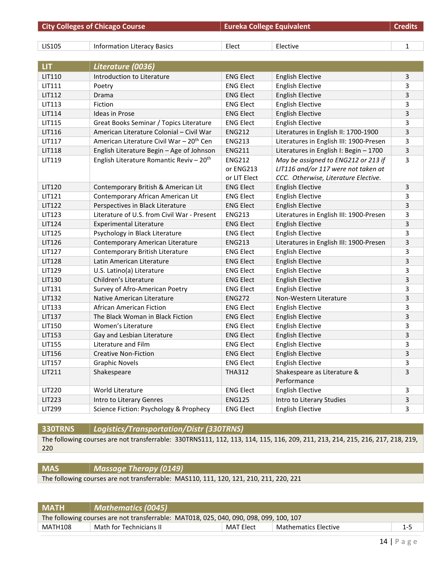|               | <b>City Colleges of Chicago Course</b>               | <b>Eureka College Equivalent</b> |                                         | <b>Credits</b> |
|---------------|------------------------------------------------------|----------------------------------|-----------------------------------------|----------------|
|               |                                                      |                                  |                                         |                |
| LIS105        | <b>Information Literacy Basics</b>                   | Elect                            | Elective                                | 1              |
|               |                                                      |                                  |                                         |                |
| <b>LIT</b>    | Literature (0036)                                    |                                  |                                         |                |
| LIT110        | Introduction to Literature                           | <b>ENG Elect</b>                 | <b>English Elective</b>                 | 3              |
| LIT111        | Poetry                                               | <b>ENG Elect</b>                 | <b>English Elective</b>                 | 3              |
| LIT112        | Drama                                                | <b>ENG Elect</b>                 | <b>English Elective</b>                 | 3              |
| LIT113        | Fiction                                              | <b>ENG Elect</b>                 | <b>English Elective</b>                 | 3              |
| LIT114        | <b>Ideas in Prose</b>                                | <b>ENG Elect</b>                 | <b>English Elective</b>                 | 3              |
| LIT115        | Great Books Seminar / Topics Literature              | <b>ENG Elect</b>                 | <b>English Elective</b>                 | 3              |
| LIT116        | American Literature Colonial - Civil War             | <b>ENG212</b>                    | Literatures in English II: 1700-1900    | 3              |
| LIT117        | American Literature Civil War - 20 <sup>th</sup> Cen | <b>ENG213</b>                    | Literatures in English III: 1900-Presen | 3              |
| LIT118        | English Literature Begin - Age of Johnson            | <b>ENG211</b>                    | Literatures in English I: Begin - 1700  | 3              |
| LIT119        | English Literature Romantic Reviv - 20 <sup>th</sup> | <b>ENG212</b>                    | May be assigned to ENG212 or 213 if     | 3              |
|               |                                                      | or ENG213                        | LIT116 and/or 117 were not taken at     |                |
|               |                                                      | or LIT Elect                     | CCC. Otherwise, Literature Elective.    |                |
| LIT120        | Contemporary British & American Lit                  | <b>ENG Elect</b>                 | <b>English Elective</b>                 | 3              |
| LIT121        | Contemporary African American Lit                    | <b>ENG Elect</b>                 | <b>English Elective</b>                 | 3              |
| LIT122        | Perspectives in Black Literature                     | <b>ENG Elect</b>                 | <b>English Elective</b>                 | $\overline{3}$ |
| LIT123        | Literature of U.S. from Civil War - Present          | <b>ENG213</b>                    | Literatures in English III: 1900-Presen | 3              |
| <b>LIT124</b> | <b>Experimental Literature</b>                       | <b>ENG Elect</b>                 | <b>English Elective</b>                 | 3              |
| <b>LIT125</b> | Psychology in Black Literature                       | <b>ENG Elect</b>                 | <b>English Elective</b>                 | 3              |
| LIT126        | Contemporary American Literature                     | <b>ENG213</b>                    | Literatures in English III: 1900-Presen | 3              |
| <b>LIT127</b> | Contemporary British Literature                      | <b>ENG Elect</b>                 | <b>English Elective</b>                 | 3              |
| <b>LIT128</b> | Latin American Literature                            | <b>ENG Elect</b>                 | <b>English Elective</b>                 | 3              |
| LIT129        | U.S. Latino(a) Literature                            | <b>ENG Elect</b>                 | <b>English Elective</b>                 | 3              |
| LIT130        | Children's Literature                                | <b>ENG Elect</b>                 | <b>English Elective</b>                 | 3              |
| LIT131        | Survey of Afro-American Poetry                       | <b>ENG Elect</b>                 | <b>English Elective</b>                 | 3              |
| LIT132        | Native American Literature                           | <b>ENG272</b>                    | Non-Western Literature                  | 3              |
| LIT133        | African American Fiction                             | <b>ENG Elect</b>                 | <b>English Elective</b>                 | 3              |
| LIT137        | The Black Woman in Black Fiction                     | <b>ENG Elect</b>                 | <b>English Elective</b>                 | 3              |
| LIT150        | Women's Literature                                   | <b>ENG Elect</b>                 | <b>English Elective</b>                 | 3              |
| LIT153        | Gay and Lesbian Literature                           | <b>ENG Elect</b>                 | <b>English Elective</b>                 | 3              |
| LIT155        | Literature and Film                                  | <b>ENG Elect</b>                 | <b>English Elective</b>                 | $\mathbf{3}$   |
| LIT156        | <b>Creative Non-Fiction</b>                          | <b>ENG Elect</b>                 | <b>English Elective</b>                 | 3              |
| LIT157        | <b>Graphic Novels</b>                                | <b>ENG Elect</b>                 | <b>English Elective</b>                 | 3              |
| LIT211        | Shakespeare                                          | <b>THA312</b>                    | Shakespeare as Literature &             | $\mathbf{3}$   |
|               |                                                      |                                  | Performance                             |                |
| LIT220        | World Literature                                     | <b>ENG Elect</b>                 | <b>English Elective</b>                 | 3              |
| LIT223        | Intro to Literary Genres                             | <b>ENG125</b>                    | Intro to Literary Studies               | 3              |
| LIT299        | Science Fiction: Psychology & Prophecy               | <b>ENG Elect</b>                 | <b>English Elective</b>                 | 3              |

**330TRNS** *Logistics/Transportation/Distr (330TRNS)*

The following courses are not transferrable: 330TRNS111, 112, 113, 114, 115, 116, 209, 211, 213, 214, 215, 216, 217, 218, 219, 220

# **MAS** *Massage Therapy (0149)*

The following courses are not transferrable: MAS110, 111, 120, 121, 210, 211, 220, 221

| <b>MATH</b>                                                                               | $\mid$ Mathematics (0045) $\mid$ |  |  |  |  |
|-------------------------------------------------------------------------------------------|----------------------------------|--|--|--|--|
| The following courses are not transferrable: MAT018, 025, 040, 090, 098, 099, 100, 107    |                                  |  |  |  |  |
| Math for Technicians II<br>MAT Elect<br><b>Mathematics Elective</b><br>MATH108<br>$1 - 5$ |                                  |  |  |  |  |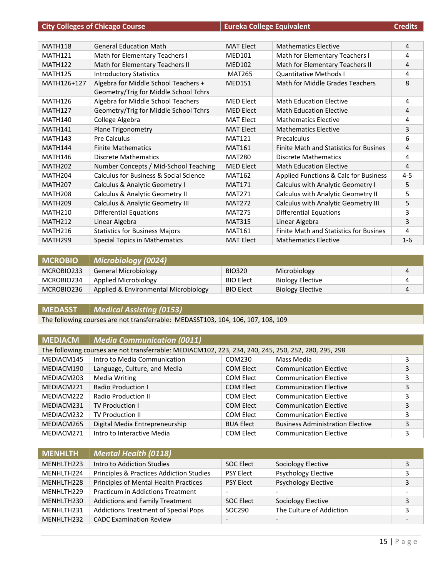|                     | <b>City Colleges of Chicago Course</b>                                        | <b>Eureka College Equivalent</b> |                                               | <b>Credits</b> |
|---------------------|-------------------------------------------------------------------------------|----------------------------------|-----------------------------------------------|----------------|
|                     |                                                                               |                                  |                                               |                |
| <b>MATH118</b>      | <b>General Education Math</b>                                                 | <b>MAT Elect</b>                 | <b>Mathematics Elective</b>                   | 4              |
| <b>MATH121</b>      | Math for Elementary Teachers I                                                | <b>MED101</b>                    | Math for Elementary Teachers I                | 4              |
| <b>MATH122</b>      | Math for Elementary Teachers II                                               | <b>MED102</b>                    | Math for Elementary Teachers II               | 4              |
| <b>MATH125</b>      | <b>Introductory Statistics</b>                                                | <b>MAT265</b>                    | <b>Quantitative Methods I</b>                 | 4              |
| MATH126+127         | Algebra for Middle School Teachers +<br>Geometry/Trig for Middle School Tchrs | <b>MED151</b>                    | Math for Middle Grades Teachers               | 8              |
| <b>MATH126</b>      | Algebra for Middle School Teachers                                            | <b>MED Elect</b>                 | <b>Math Education Elective</b>                | 4              |
| <b>MATH127</b>      | Geometry/Trig for Middle School Tchrs                                         | <b>MED Elect</b>                 | <b>Math Education Elective</b>                | 4              |
| <b>MATH140</b>      | College Algebra                                                               | <b>MAT Elect</b>                 | <b>Mathematics Elective</b>                   | 4              |
| <b>MATH141</b>      | <b>Plane Trigonometry</b>                                                     | <b>MAT Elect</b>                 | <b>Mathematics Elective</b>                   | 3              |
| <b>MATH143</b>      | <b>Pre Calculus</b>                                                           | <b>MAT121</b>                    | Precalculus                                   | 6              |
| <b>MATH144</b>      | <b>Finite Mathematics</b>                                                     | <b>MAT161</b>                    | <b>Finite Math and Statistics for Busines</b> | 4              |
| <b>MATH146</b>      | Discrete Mathematics                                                          | <b>MAT280</b>                    | <b>Discrete Mathematics</b>                   | 4              |
| <b>MATH202</b>      | Number Concepts / Mid-School Teaching                                         | <b>MED Elect</b>                 | <b>Math Education Elective</b>                | 4              |
| <b>MATH204</b>      | Calculus for Business & Social Science                                        | <b>MAT162</b>                    | Applied Functions & Calc for Business         | $4 - 5$        |
| <b>MATH207</b>      | Calculus & Analytic Geometry I                                                | <b>MAT171</b>                    | Calculus with Analytic Geometry I             | 5              |
| <b>MATH208</b>      | Calculus & Analytic Geometry II                                               | <b>MAT271</b>                    | Calculus with Analytic Geometry II            | 5              |
| <b>MATH209</b>      | Calculus & Analytic Geometry III                                              | <b>MAT272</b>                    | Calculus with Analytic Geometry III           | 5              |
| <b>MATH210</b>      | <b>Differential Equations</b>                                                 | <b>MAT275</b>                    | <b>Differential Equations</b>                 | 3              |
| <b>MATH212</b>      | Linear Algebra                                                                | <b>MAT315</b>                    | Linear Algebra                                | 3              |
| <b>MATH216</b>      | <b>Statistics for Business Majors</b>                                         | <b>MAT161</b>                    | <b>Finite Math and Statistics for Busines</b> | 4              |
| MATH <sub>299</sub> | <b>Special Topics in Mathematics</b>                                          | <b>MAT Elect</b>                 | <b>Mathematics Elective</b>                   | $1-6$          |

| <b>MCROBIO</b> | <b>Microbiology (0024)</b>           |                  |                         |   |
|----------------|--------------------------------------|------------------|-------------------------|---|
| MCROBIO233     | General Microbiology                 | <b>BIO320</b>    | Microbiology            |   |
| MCROBIO234     | Applied Microbiology                 | <b>BIO Elect</b> | <b>Biology Elective</b> | 4 |
| MCROBIO236     | Applied & Environmental Microbiology | <b>BIO Elect</b> | <b>Biology Elective</b> |   |

# **MEDASST** *Medical Assisting (0153)*

The following courses are not transferrable: MEDASST103, 104, 106, 107, 108, 109

| <b>MEDIACM</b> | Media Communication (0011) |
|----------------|----------------------------|
|----------------|----------------------------|

| The following courses are not transferrable: MEDIACM102, 223, 234, 240, 245, 250, 252, 280, 295, 298 |                                |                  |                                         |   |  |
|------------------------------------------------------------------------------------------------------|--------------------------------|------------------|-----------------------------------------|---|--|
| MEDIACM145                                                                                           | Intro to Media Communication   | COM230           | Mass Media                              | 3 |  |
| MEDIACM190                                                                                           | Language, Culture, and Media   | COM Elect        | <b>Communication Elective</b>           | 3 |  |
| MEDIACM203                                                                                           | Media Writing                  | COM Elect        | <b>Communication Elective</b>           | 3 |  |
| MEDIACM221                                                                                           | <b>Radio Production I</b>      | <b>COM Elect</b> | <b>Communication Elective</b>           | 3 |  |
| MEDIACM222                                                                                           | <b>Radio Production II</b>     | COM Elect        | <b>Communication Elective</b>           |   |  |
| MEDIACM231                                                                                           | <b>TV Production I</b>         | COM Elect        | <b>Communication Elective</b>           | 3 |  |
| MEDIACM232                                                                                           | <b>TV Production II</b>        | COM Elect        | <b>Communication Elective</b>           |   |  |
| MEDIACM265                                                                                           | Digital Media Entrepreneurship | <b>BUA Elect</b> | <b>Business Administration Elective</b> | 3 |  |
| MEDIACM271                                                                                           | Intro to Interactive Media     | <b>COM Elect</b> | <b>Communication Elective</b>           | 3 |  |

| <b>MENHLTH</b> | <b>Mental Health (0118)</b>                         |                          |                            |                          |
|----------------|-----------------------------------------------------|--------------------------|----------------------------|--------------------------|
| MENHLTH223     | Intro to Addiction Studies                          | <b>SOC Elect</b>         | Sociology Elective         |                          |
| MENHLTH224     | <b>Principles &amp; Practices Addiction Studies</b> | <b>PSY Elect</b>         | <b>Psychology Elective</b> |                          |
| MENHLTH228     | Principles of Mental Health Practices               | <b>PSY Elect</b>         | <b>Psychology Elective</b> | 3                        |
| MENHLTH229     | <b>Practicum in Addictions Treatment</b>            | $\overline{\phantom{a}}$ |                            | $\overline{\phantom{0}}$ |
| MENHLTH230     | <b>Addictions and Family Treatment</b>              | SOC Elect                | Sociology Elective         | 3                        |
| MENHLTH231     | <b>Addictions Treatment of Special Pops</b>         | SOC290                   | The Culture of Addiction   |                          |
| MENHLTH232     | <b>CADC Examination Review</b>                      | $\overline{\phantom{0}}$ |                            |                          |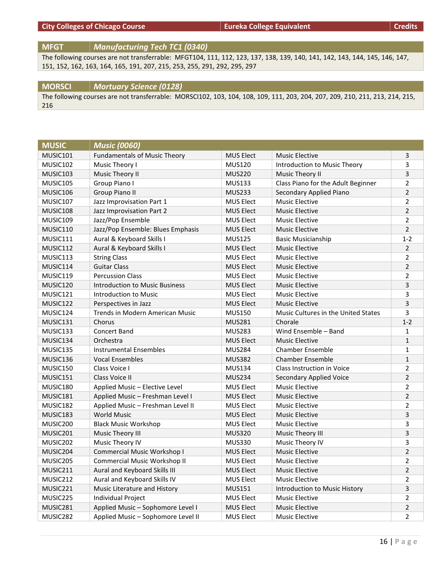# **City Colleges of Chicago Course EURE COLLEGE Equivalent EURE EQUIVALER EXECUTE:** Credits

**MFGT** *Manufacturing Tech TC1 (0340)*

The following courses are not transferrable: MFGT104, 111, 112, 123, 137, 138, 139, 140, 141, 142, 143, 144, 145, 146, 147, 151, 152, 162, 163, 164, 165, 191, 207, 215, 253, 255, 291, 292, 295, 297

#### **MORSCI** *Mortuary Science (0128)*

The following courses are not transferrable: MORSCI102, 103, 104, 108, 109, 111, 203, 204, 207, 209, 210, 211, 213, 214, 215, 216

| <b>MUSIC</b> | <b>Music (0060)</b>                   |                  |                                     |                         |
|--------------|---------------------------------------|------------------|-------------------------------------|-------------------------|
| MUSIC101     | <b>Fundamentals of Music Theory</b>   | MUS Elect        | <b>Music Elective</b>               | 3                       |
| MUSIC102     | Music Theory I                        | <b>MUS120</b>    | Introduction to Music Theory        | 3                       |
| MUSIC103     | Music Theory II                       | <b>MUS220</b>    | <b>Music Theory II</b>              | 3                       |
| MUSIC105     | Group Piano I                         | <b>MUS133</b>    | Class Piano for the Adult Beginner  | $\overline{2}$          |
| MUSIC106     | <b>Group Piano II</b>                 | <b>MUS233</b>    | Secondary Applied Piano             | $\overline{2}$          |
| MUSIC107     | Jazz Improvisation Part 1             | <b>MUS Elect</b> | <b>Music Elective</b>               | $\overline{2}$          |
| MUSIC108     | Jazz Improvisation Part 2             | <b>MUS Elect</b> | <b>Music Elective</b>               | $\overline{2}$          |
| MUSIC109     | Jazz/Pop Ensemble                     | <b>MUS Elect</b> | <b>Music Elective</b>               | $\overline{2}$          |
| MUSIC110     | Jazz/Pop Ensemble: Blues Emphasis     | MUS Elect        | <b>Music Elective</b>               | $\overline{2}$          |
| MUSIC111     | Aural & Keyboard Skills I             | <b>MUS125</b>    | <b>Basic Musicianship</b>           | $1 - 2$                 |
| MUSIC112     | Aural & Keyboard Skills I             | <b>MUS Elect</b> | <b>Music Elective</b>               | $\overline{2}$          |
| MUSIC113     | <b>String Class</b>                   | <b>MUS Elect</b> | <b>Music Elective</b>               | 2                       |
| MUSIC114     | <b>Guitar Class</b>                   | <b>MUS Elect</b> | <b>Music Elective</b>               | $\overline{2}$          |
| MUSIC119     | <b>Percussion Class</b>               | <b>MUS Elect</b> | <b>Music Elective</b>               | $\overline{2}$          |
| MUSIC120     | <b>Introduction to Music Business</b> | <b>MUS Elect</b> | <b>Music Elective</b>               | 3                       |
| MUSIC121     | Introduction to Music                 | <b>MUS Elect</b> | <b>Music Elective</b>               | 3                       |
| MUSIC122     | Perspectives in Jazz                  | <b>MUS Elect</b> | <b>Music Elective</b>               | 3                       |
| MUSIC124     | Trends in Modern American Music       | <b>MUS150</b>    | Music Cultures in the United States | 3                       |
| MUSIC131     | Chorus                                | <b>MUS281</b>    | Chorale                             | $1 - 2$                 |
| MUSIC133     | <b>Concert Band</b>                   | <b>MUS283</b>    | Wind Ensemble - Band                | 1                       |
| MUSIC134     | Orchestra                             | <b>MUS Elect</b> | <b>Music Elective</b>               | $\mathbf{1}$            |
| MUSIC135     | <b>Instrumental Ensembles</b>         | <b>MUS284</b>    | <b>Chamber Ensemble</b>             | 1                       |
| MUSIC136     | <b>Vocal Ensembles</b>                | <b>MUS382</b>    | <b>Chamber Ensemble</b>             | $\mathbf{1}$            |
| MUSIC150     | Class Voice I                         | <b>MUS134</b>    | Class Instruction in Voice          | $\overline{2}$          |
| MUSIC151     | Class Voice II                        | <b>MUS234</b>    | Secondary Applied Voice             | $\overline{2}$          |
| MUSIC180     | Applied Music - Elective Level        | <b>MUS Elect</b> | <b>Music Elective</b>               | 2                       |
| MUSIC181     | Applied Music - Freshman Level I      | <b>MUS Elect</b> | <b>Music Elective</b>               | $\overline{2}$          |
| MUSIC182     | Applied Music - Freshman Level II     | <b>MUS Elect</b> | <b>Music Elective</b>               | $\overline{2}$          |
| MUSIC183     | <b>World Music</b>                    | <b>MUS Elect</b> | <b>Music Elective</b>               | 3                       |
| MUSIC200     | <b>Black Music Workshop</b>           | <b>MUS Elect</b> | <b>Music Elective</b>               | 3                       |
| MUSIC201     | Music Theory III                      | <b>MUS320</b>    | Music Theory III                    | 3                       |
| MUSIC202     | Music Theory IV                       | <b>MUS330</b>    | Music Theory IV                     | 3                       |
| MUSIC204     | Commercial Music Workshop I           | <b>MUS Elect</b> | <b>Music Elective</b>               | $\overline{2}$          |
| MUSIC205     | Commercial Music Workshop II          | <b>MUS Elect</b> | <b>Music Elective</b>               | $\overline{\mathbf{c}}$ |
| MUSIC211     | Aural and Keyboard Skills III         | MUS Elect        | <b>Music Elective</b>               | $\overline{2}$          |
| MUSIC212     | Aural and Keyboard Skills IV          | <b>MUS Elect</b> | <b>Music Elective</b>               | $\overline{2}$          |
| MUSIC221     | Music Literature and History          | <b>MUS151</b>    | Introduction to Music History       | 3                       |
| MUSIC225     | <b>Individual Project</b>             | MUS Elect        | <b>Music Elective</b>               | $\overline{2}$          |
| MUSIC281     | Applied Music - Sophomore Level I     | MUS Elect        | <b>Music Elective</b>               | $\overline{2}$          |
| MUSIC282     | Applied Music - Sophomore Level II    | <b>MUS Elect</b> | <b>Music Elective</b>               | $\overline{2}$          |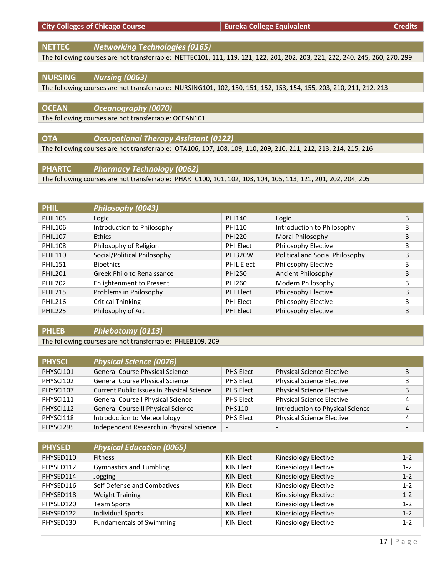|  | <b>City Colleges of Chicago Course</b> |  |  |
|--|----------------------------------------|--|--|
|--|----------------------------------------|--|--|

**NETTEC** *Networking Technologies (0165)*

The following courses are not transferrable: NETTEC101, 111, 119, 121, 122, 201, 202, 203, 221, 222, 240, 245, 260, 270, 299

# **NURSING** *Nursing (0063)*

The following courses are not transferrable: NURSING101, 102, 150, 151, 152, 153, 154, 155, 203, 210, 211, 212, 213

| <b>OCEAN</b> | $\vert$ Oceanography (0070)                           |
|--------------|-------------------------------------------------------|
|              | The following courses are not transferrable: OCEAN101 |

**OTA** *Occupational Therapy Assistant (0122)* The following courses are not transferrable: OTA106, 107, 108, 109, 110, 209, 210, 211, 212, 213, 214, 215, 216

**PHARTC** *Pharmacy Technology (0062)*

The following courses are not transferrable: PHARTC100, 101, 102, 103, 104, 105, 113, 121, 201, 202, 204, 205

| <b>PHIL</b>     | Philosophy (0043)               |                   |                                 |   |  |
|-----------------|---------------------------------|-------------------|---------------------------------|---|--|
| <b>PHIL105</b>  | Logic                           | PHI140            | Logic                           | 3 |  |
| <b>PHIL106</b>  | Introduction to Philosophy      | PHI110            | Introduction to Philosophy      | 3 |  |
| <b>PHIL107</b>  | <b>Ethics</b>                   | <b>PHI220</b>     | Moral Philosophy                | 3 |  |
| <b>PHIL108</b>  | Philosophy of Religion          | <b>PHI Elect</b>  | Philosophy Elective             | 3 |  |
| <b>PHIL110</b>  | Social/Political Philosophy     | <b>PHI320W</b>    | Political and Social Philosophy | 3 |  |
| <b>PHIL151</b>  | <b>Bioethics</b>                | <b>PHIL Elect</b> | Philosophy Elective             | 3 |  |
| <b>PHII 201</b> | Greek Philo to Renaissance      | PHI250            | Ancient Philosophy              | 3 |  |
| <b>PHIL202</b>  | <b>Enlightenment to Present</b> | PHI260            | Modern Philosophy               | 3 |  |
| <b>PHIL215</b>  | Problems in Philosophy          | <b>PHI Elect</b>  | Philosophy Elective             | 3 |  |
| <b>PHIL216</b>  | <b>Critical Thinking</b>        | PHI Elect         | Philosophy Elective             | 3 |  |
| <b>PHIL225</b>  | Philosophy of Art               | <b>PHI Elect</b>  | Philosophy Elective             | 3 |  |

# **PHLEB** *Phlebotomy (0113)*

The following courses are not transferrable: PHLEB109, 209

| <b>PHYSCI</b> | <b>Physical Science (0076)</b>            |                          |                                  |   |
|---------------|-------------------------------------------|--------------------------|----------------------------------|---|
| PHYSCI101     | <b>General Course Physical Science</b>    | <b>PHS Elect</b>         | <b>Physical Science Elective</b> |   |
| PHYSC1102     | General Course Physical Science           | PHS Elect                | <b>Physical Science Elective</b> | 3 |
| PHYSCI107     | Current Public Issues in Physical Science | <b>PHS Elect</b>         | <b>Physical Science Elective</b> | 3 |
| PHYSCI111     | <b>General Course I Physical Science</b>  | <b>PHS Elect</b>         | <b>Physical Science Elective</b> | 4 |
| PHYSCI112     | General Course II Physical Science        | <b>PHS110</b>            | Introduction to Physical Science | 4 |
| PHYSCI118     | Introduction to Meteorlology              | PHS Elect                | <b>Physical Science Elective</b> | 4 |
| PHYSCI295     | Independent Research in Physical Science  | $\overline{\phantom{a}}$ |                                  | - |

| <b>PHYSED</b> | <b>Physical Education (0065)</b> |                  |                      |         |
|---------------|----------------------------------|------------------|----------------------|---------|
| PHYSED110     | <b>Fitness</b>                   | KIN Elect        | Kinesiology Elective | $1 - 2$ |
| PHYSED112     | <b>Gymnastics and Tumbling</b>   | KIN Elect        | Kinesiology Elective | $1 - 2$ |
| PHYSED114     | Jogging                          | KIN Elect        | Kinesiology Elective | $1 - 2$ |
| PHYSED116     | Self Defense and Combatives      | KIN Elect        | Kinesiology Elective | $1 - 2$ |
| PHYSED118     | <b>Weight Training</b>           | KIN Elect        | Kinesiology Elective | $1 - 2$ |
| PHYSED120     | <b>Team Sports</b>               | KIN Elect        | Kinesiology Elective | $1 - 2$ |
| PHYSED122     | <b>Individual Sports</b>         | KIN Elect        | Kinesiology Elective | $1 - 2$ |
| PHYSED130     | <b>Fundamentals of Swimming</b>  | <b>KIN Elect</b> | Kinesiology Elective | $1 - 2$ |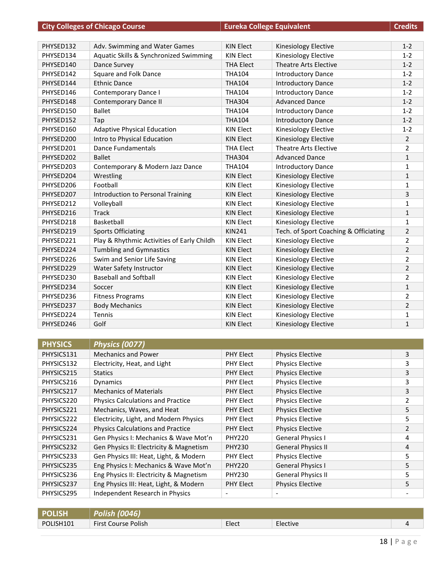| PHYSED132 | Adv. Swimming and Water Games              | <b>KIN Elect</b> | Kinesiology Elective                  | $1 - 2$        |
|-----------|--------------------------------------------|------------------|---------------------------------------|----------------|
| PHYSED134 | Aquatic Skills & Synchronized Swimming     | <b>KIN Elect</b> | Kinesiology Elective                  | $1 - 2$        |
| PHYSED140 | Dance Survey                               | <b>THA Elect</b> | <b>Theatre Arts Elective</b>          | $1 - 2$        |
| PHYSED142 | Square and Folk Dance                      | <b>THA104</b>    | <b>Introductory Dance</b>             | $1 - 2$        |
| PHYSED144 | <b>Ethnic Dance</b>                        | <b>THA104</b>    | <b>Introductory Dance</b>             | $1 - 2$        |
| PHYSED146 | <b>Contemporary Dance I</b>                | <b>THA104</b>    | <b>Introductory Dance</b>             | $1 - 2$        |
| PHYSED148 | <b>Contemporary Dance II</b>               | <b>THA304</b>    | <b>Advanced Dance</b>                 | $1 - 2$        |
| PHYSED150 | <b>Ballet</b>                              | <b>THA104</b>    | <b>Introductory Dance</b>             | $1 - 2$        |
| PHYSED152 | Tap                                        | <b>THA104</b>    | <b>Introductory Dance</b>             | $1 - 2$        |
| PHYSED160 | <b>Adaptive Physical Education</b>         | <b>KIN Elect</b> | Kinesiology Elective                  | $1 - 2$        |
| PHYSED200 | Intro to Physical Education                | <b>KIN Elect</b> | Kinesiology Elective                  | $\overline{2}$ |
| PHYSED201 | <b>Dance Fundamentals</b>                  | <b>THA Elect</b> | <b>Theatre Arts Elective</b>          | $\overline{2}$ |
| PHYSED202 | <b>Ballet</b>                              | <b>THA304</b>    | <b>Advanced Dance</b>                 | $\mathbf{1}$   |
| PHYSED203 | Contemporary & Modern Jazz Dance           | <b>THA104</b>    | <b>Introductory Dance</b>             | 1              |
| PHYSED204 | Wrestling                                  | <b>KIN Elect</b> | Kinesiology Elective                  | $\mathbf{1}$   |
| PHYSED206 | Football                                   | KIN Elect        | Kinesiology Elective                  | 1              |
| PHYSED207 | Introduction to Personal Training          | <b>KIN Elect</b> | <b>Kinesiology Elective</b>           | 3              |
| PHYSED212 | Volleyball                                 | <b>KIN Elect</b> | <b>Kinesiology Elective</b>           | 1              |
| PHYSED216 | <b>Track</b>                               | <b>KIN Elect</b> | Kinesiology Elective                  | $\mathbf{1}$   |
| PHYSED218 | Basketball                                 | <b>KIN Elect</b> | Kinesiology Elective                  | 1              |
| PHYSED219 | <b>Sports Officiating</b>                  | <b>KIN241</b>    | Tech. of Sport Coaching & Officiating | $\overline{2}$ |
| PHYSED221 | Play & Rhythmic Activities of Early Childh | <b>KIN Elect</b> | Kinesiology Elective                  | $\overline{2}$ |
| PHYSED224 | <b>Tumbling and Gymnastics</b>             | <b>KIN Elect</b> | Kinesiology Elective                  | $\overline{2}$ |
| PHYSED226 | Swim and Senior Life Saving                | KIN Elect        | Kinesiology Elective                  | $\overline{2}$ |
| PHYSED229 | Water Safety Instructor                    | <b>KIN Elect</b> | Kinesiology Elective                  | $\overline{2}$ |
| PHYSED230 | <b>Baseball and Softball</b>               | KIN Elect        | <b>Kinesiology Elective</b>           | 2              |
| PHYSED234 | Soccer                                     | <b>KIN Elect</b> | Kinesiology Elective                  | $\mathbf{1}$   |
| PHYSED236 | <b>Fitness Programs</b>                    | <b>KIN Elect</b> | Kinesiology Elective                  | $\overline{2}$ |
| PHYSED237 | <b>Body Mechanics</b>                      | <b>KIN Elect</b> | Kinesiology Elective                  | $\overline{2}$ |
| PHYSED224 | <b>Tennis</b>                              | <b>KIN Elect</b> | Kinesiology Elective                  | 1              |
| PHYSED246 | Golf                                       | <b>KIN Elect</b> | Kinesiology Elective                  | $\mathbf{1}$   |

| <b>PHYSICS</b> | Physics (0077)                           |                          |                           |                |
|----------------|------------------------------------------|--------------------------|---------------------------|----------------|
| PHYSICS131     | <b>Mechanics and Power</b>               | <b>PHY Elect</b>         | <b>Physics Elective</b>   | 3              |
| PHYSICS132     | Electricity, Heat, and Light             | <b>PHY Elect</b>         | <b>Physics Elective</b>   | 3              |
| PHYSICS215     | <b>Statics</b>                           | <b>PHY Elect</b>         | <b>Physics Elective</b>   | 3              |
| PHYSICS216     | Dynamics                                 | <b>PHY Elect</b>         | <b>Physics Elective</b>   | 3              |
| PHYSICS217     | <b>Mechanics of Materials</b>            | <b>PHY Elect</b>         | <b>Physics Elective</b>   | 3              |
| PHYSICS220     | <b>Physics Calculations and Practice</b> | <b>PHY Elect</b>         | <b>Physics Elective</b>   | $\mathfrak{p}$ |
| PHYSICS221     | Mechanics, Waves, and Heat               | <b>PHY Elect</b>         | <b>Physics Elective</b>   | 5              |
| PHYSICS222     | Electricity, Light, and Modern Physics   | <b>PHY Elect</b>         | <b>Physics Elective</b>   | 5              |
| PHYSICS224     | <b>Physics Calculations and Practice</b> | <b>PHY Elect</b>         | <b>Physics Elective</b>   | $\overline{2}$ |
| PHYSICS231     | Gen Physics I: Mechanics & Wave Mot'n    | <b>PHY220</b>            | <b>General Physics I</b>  | 4              |
| PHYSICS232     | Gen Physics II: Electricity & Magnetism  | <b>PHY230</b>            | <b>General Physics II</b> | 4              |
| PHYSICS233     | Gen Physics III: Heat, Light, & Modern   | <b>PHY Elect</b>         | <b>Physics Elective</b>   | 5              |
| PHYSICS235     | Eng Physics I: Mechanics & Wave Mot'n    | <b>PHY220</b>            | <b>General Physics I</b>  | 5              |
| PHYSICS236     | Eng Physics II: Electricity & Magnetism  | <b>PHY230</b>            | <b>General Physics II</b> | 5              |
| PHYSICS237     | Eng Physics III: Heat, Light, & Modern   | <b>PHY Elect</b>         | <b>Physics Elective</b>   | 5              |
| PHYSICS295     | Independent Research in Physics          | $\overline{\phantom{a}}$ |                           |                |

| <b>POLISH</b> | <b>Polish (0046)</b>       |       |          |  |
|---------------|----------------------------|-------|----------|--|
| POLISH101     | <b>First Course Polish</b> | Elect | Elective |  |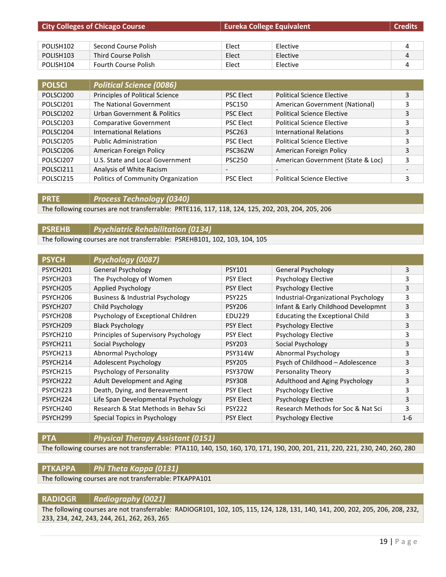| <b>City Colleges of Chicago Course</b> |                             | <b>Eureka College Equivalent</b> |          | <b>Credits</b> |
|----------------------------------------|-----------------------------|----------------------------------|----------|----------------|
|                                        |                             |                                  |          |                |
| POLISH <sub>102</sub>                  | Second Course Polish        | Elect                            | Elective | 4              |
| POLISH <sub>103</sub>                  | Third Course Polish         | Elect                            | Elective | 4              |
| POLISH104                              | <b>Fourth Course Polish</b> | Elect                            | Elective | 4              |

| <b>POLSCI</b> | <b>Political Science (0086)</b>    |                          |                                   |                              |
|---------------|------------------------------------|--------------------------|-----------------------------------|------------------------------|
| POLSCI200     | Principles of Political Science    | <b>PSC Elect</b>         | <b>Political Science Elective</b> | 3                            |
| POLSCI201     | The National Government            | <b>PSC150</b>            | American Government (National)    | 3                            |
| POLSCI202     | Urban Government & Politics        | <b>PSC Elect</b>         | <b>Political Science Elective</b> | 3                            |
| POLSCI203     | <b>Comparative Government</b>      | <b>PSC Elect</b>         | <b>Political Science Elective</b> | 3                            |
| POLSCI204     | International Relations            | <b>PSC263</b>            | International Relations           | 3                            |
| POLSCI205     | <b>Public Administration</b>       | <b>PSC Elect</b>         | <b>Political Science Elective</b> | 3                            |
| POLSCI206     | American Foreign Policy            | <b>PSC362W</b>           | American Foreign Policy           | 3                            |
| POLSCI207     | U.S. State and Local Government    | <b>PSC250</b>            | American Government (State & Loc) | 3                            |
| POLSCI211     | Analysis of White Racism           | $\overline{\phantom{a}}$ | $\overline{\phantom{a}}$          | $\qquad \qquad \blacksquare$ |
| POLSCI215     | Politics of Community Organization | <b>PSC Elect</b>         | <b>Political Science Elective</b> | 3                            |

**PRTE** *Process Technology (0340)*

The following courses are not transferrable: PRTE116, 117, 118, 124, 125, 202, 203, 204, 205, 206

### **PSREHB** *Psychiatric Rehabilitation (0134)* The following courses are not transferrable: PSREHB101, 102, 103, 104, 105

| <b>PSYCH</b>         | Psychology (0087)                    |                  |                                        |         |
|----------------------|--------------------------------------|------------------|----------------------------------------|---------|
| PSYCH <sub>201</sub> | <b>General Psychology</b>            | <b>PSY101</b>    | <b>General Psychology</b>              | 3       |
| PSYCH <sub>203</sub> | The Psychology of Women              | <b>PSY Elect</b> | <b>Psychology Elective</b>             | 3       |
| PSYCH <sub>205</sub> | Applied Psychology                   | <b>PSY Elect</b> | <b>Psychology Elective</b>             | 3       |
| PSYCH206             | Business & Industrial Psychology     | <b>PSY225</b>    | Industrial-Organizational Psychology   | 3       |
| PSYCH <sub>207</sub> | Child Psychology                     | <b>PSY206</b>    | Infant & Early Childhood Developmnt    | 3       |
| PSYCH208             | Psychology of Exceptional Children   | <b>EDU229</b>    | <b>Educating the Exceptional Child</b> | 3       |
| PSYCH209             | <b>Black Psychology</b>              | <b>PSY Elect</b> | <b>Psychology Elective</b>             | 3       |
| PSYCH <sub>210</sub> | Principles of Supervisory Psychology | <b>PSY Elect</b> | <b>Psychology Elective</b>             | 3       |
| PSYCH211             | Social Psychology                    | <b>PSY203</b>    | Social Psychology                      | 3       |
| PSYCH <sub>213</sub> | <b>Abnormal Psychology</b>           | <b>PSY314W</b>   | Abnormal Psychology                    | 3       |
| PSYCH214             | Adolescent Psychology                | <b>PSY205</b>    | Psych of Childhood - Adolescence       | 3       |
| PSYCH <sub>215</sub> | Psychology of Personality            | PSY370W          | Personality Theory                     | 3       |
| PSYCH <sub>222</sub> | Adult Development and Aging          | <b>PSY308</b>    | Adulthood and Aging Psychology         | 3       |
| PSYCH <sub>223</sub> | Death, Dying, and Bereavement        | <b>PSY Elect</b> | <b>Psychology Elective</b>             | 3       |
| PSYCH <sub>224</sub> | Life Span Developmental Psychology   | <b>PSY Elect</b> | <b>Psychology Elective</b>             | 3       |
| PSYCH <sub>240</sub> | Research & Stat Methods in Behay Sci | <b>PSY222</b>    | Research Methods for Soc & Nat Sci     | 3       |
| PSYCH <sub>299</sub> | Special Topics in Psychology         | <b>PSY Elect</b> | <b>Psychology Elective</b>             | $1 - 6$ |

#### **PTA** *Physical Therapy Assistant (0151)*

The following courses are not transferrable: PTA110, 140, 150, 160, 170, 171, 190, 200, 201, 211, 220, 221, 230, 240, 260, 280

#### **PTKAPPA** *Phi Theta Kappa (0131)*

The following courses are not transferrable: PTKAPPA101

#### **RADIOGR** *Radiography (0021)*

The following courses are not transferrable: RADIOGR101, 102, 105, 115, 124, 128, 131, 140, 141, 200, 202, 205, 206, 208, 232, 233, 234, 242, 243, 244, 261, 262, 263, 265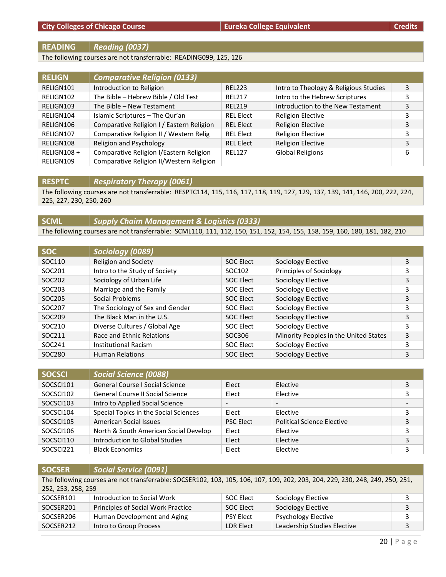#### **READING** *Reading (0037)*

The following courses are not transferrable: READING099, 125, 126

| <b>RELIGN</b> | <b>Comparative Religion (0133)</b>        |                  |                                       |   |
|---------------|-------------------------------------------|------------------|---------------------------------------|---|
| RELIGN101     | Introduction to Religion                  | <b>REL223</b>    | Intro to Theology & Religious Studies | 3 |
| RELIGN102     | The Bible - Hebrew Bible / Old Test       | <b>REL217</b>    | Intro to the Hebrew Scriptures        | 3 |
| RELIGN103     | The Bible - New Testament                 | <b>REL219</b>    | Introduction to the New Testament     | 3 |
| RELIGN104     | Islamic Scriptures - The Qur'an           | <b>REL Elect</b> | <b>Religion Elective</b>              | 3 |
| RELIGN106     | Comparative Religion I / Eastern Religion | <b>REL Elect</b> | <b>Religion Elective</b>              | 3 |
| RELIGN107     | Comparative Religion II / Western Relig   | <b>REL Elect</b> | <b>Religion Elective</b>              | 3 |
| RELIGN108     | Religion and Psychology                   | <b>REL Elect</b> | <b>Religion Elective</b>              | 3 |
| RELIGN108+    | Comparative Religion I/Eastern Religion   | <b>REL127</b>    | <b>Global Religions</b>               | 6 |
| RELIGN109     | Comparative Religion II/Western Religion  |                  |                                       |   |

**RESPTC** *Respiratory Therapy (0061)*

The following courses are not transferrable: RESPTC114, 115, 116, 117, 118, 119, 127, 129, 137, 139, 141, 146, 200, 222, 224, 225, 227, 230, 250, 260

# **SCML** *Supply Chaim Management & Logistics (0333)*

The following courses are not transferrable: SCML110, 111, 112, 150, 151, 152, 154, 155, 158, 159, 160, 180, 181, 182, 210

| <b>SOC</b> | Sociology (0089)                |                  |                                       |   |
|------------|---------------------------------|------------------|---------------------------------------|---|
| SOC110     | <b>Religion and Society</b>     | <b>SOC Elect</b> | Sociology Elective                    | 3 |
| SOC201     | Intro to the Study of Society   | SOC102           | Principles of Sociology               |   |
| SOC202     | Sociology of Urban Life         | <b>SOC Elect</b> | Sociology Elective                    | 3 |
| SOC203     | Marriage and the Family         | SOC Elect        | Sociology Elective                    | 3 |
| SOC205     | Social Problems                 | <b>SOC Elect</b> | Sociology Elective                    | 3 |
| SOC207     | The Sociology of Sex and Gender | SOC Elect        | Sociology Elective                    | 3 |
| SOC209     | The Black Man in the U.S.       | <b>SOC Elect</b> | Sociology Elective                    | 3 |
| SOC210     | Diverse Cultures / Global Age   | SOC Elect        | Sociology Elective                    | 3 |
| SOC211     | Race and Ethnic Relations       | SOC306           | Minority Peoples in the United States | 3 |
| SOC241     | Institutional Racism            | SOC Elect        | Sociology Elective                    | 3 |
| SOC280     | <b>Human Relations</b>          | <b>SOC Elect</b> | Sociology Elective                    | 3 |

| <b>SOCSCI</b> | <b>Social Science (0088)</b>           |                          |                                   |   |
|---------------|----------------------------------------|--------------------------|-----------------------------------|---|
| SOCSCI101     | <b>General Course I Social Science</b> | Elect                    | Elective                          |   |
| SOCSCI102     | General Course II Social Science       | Elect                    | Elective                          |   |
| SOCSCI103     | Intro to Applied Social Science        | $\overline{\phantom{0}}$ | $\overline{\phantom{0}}$          |   |
| SOCSCI104     | Special Topics in the Social Sciences  | Elect                    | Elective                          |   |
| SOCSCI105     | American Social Issues                 | <b>PSC Elect</b>         | <b>Political Science Elective</b> | 3 |
| SOCSCI106     | North & South American Social Develop  | Elect                    | Elective                          | 3 |
| SOCSCI110     | Introduction to Global Studies         | Elect                    | Elective                          | 3 |
| SOCSCI221     | <b>Black Economics</b>                 | Elect                    | Elective                          |   |

| <b>SOCSER</b>      | <b>Social Service (0091)</b>                                                                                                  |                  |                             |   |
|--------------------|-------------------------------------------------------------------------------------------------------------------------------|------------------|-----------------------------|---|
|                    | The following courses are not transferrable: SOCSER102, 103, 105, 106, 107, 109, 202, 203, 204, 229, 230, 248, 249, 250, 251, |                  |                             |   |
| 252, 253, 258, 259 |                                                                                                                               |                  |                             |   |
| SOCSER101          | Introduction to Social Work                                                                                                   | SOC Elect        | Sociology Elective          |   |
| SOCSER201          | Principles of Social Work Practice                                                                                            | SOC Elect        | Sociology Elective          | 3 |
| SOCSER206          | Human Development and Aging                                                                                                   | <b>PSY Elect</b> | <b>Psychology Elective</b>  | 3 |
| SOCSER212          | Intro to Group Process                                                                                                        | LDR Elect        | Leadership Studies Elective | 3 |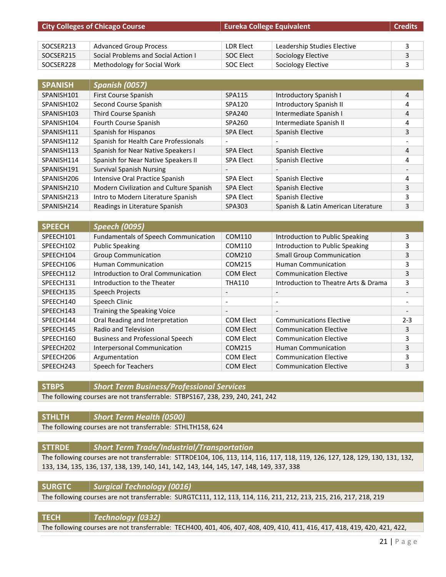| <b>City Colleges of Chicago Course</b> |                                     | <b>Eureka College Equivalent</b> |                             | <b>Credits</b> |
|----------------------------------------|-------------------------------------|----------------------------------|-----------------------------|----------------|
|                                        |                                     |                                  |                             |                |
| SOCSER213                              | <b>Advanced Group Process</b>       | LDR Elect                        | Leadership Studies Elective |                |
| SOCSER215                              | Social Problems and Social Action I | SOC Elect                        | Sociology Elective          |                |
| SOCSER228                              | Methodology for Social Work         | SOC Elect                        | Sociology Elective          |                |

| <b>SPANISH</b> | <b>Spanish (0057)</b>                   |                          |                                     |   |
|----------------|-----------------------------------------|--------------------------|-------------------------------------|---|
| SPANISH101     | First Course Spanish                    | SPA115                   | Introductory Spanish I              | 4 |
| SPANISH102     | Second Course Spanish                   | SPA120                   | <b>Introductory Spanish II</b>      | 4 |
| SPANISH103     | Third Course Spanish                    | SPA240                   | Intermediate Spanish I              | 4 |
| SPANISH104     | Fourth Course Spanish                   | SPA260                   | Intermediate Spanish II             | 4 |
| SPANISH111     | Spanish for Hispanos                    | <b>SPA Elect</b>         | Spanish Elective                    | 3 |
| SPANISH112     | Spanish for Health Care Professionals   | $\overline{\phantom{0}}$ |                                     |   |
| SPANISH113     | Spanish for Near Native Speakers I      | <b>SPA Elect</b>         | Spanish Elective                    | 4 |
| SPANISH114     | Spanish for Near Native Speakers II     | <b>SPA Elect</b>         | Spanish Elective                    | 4 |
| SPANISH191     | <b>Survival Spanish Nursing</b>         | $\overline{\phantom{a}}$ |                                     |   |
| SPANISH206     | Intensive Oral Practice Spanish         | <b>SPA Elect</b>         | Spanish Elective                    | 4 |
| SPANISH210     | Modern Civilization and Culture Spanish | <b>SPA Elect</b>         | Spanish Elective                    | 3 |
| SPANISH213     | Intro to Modern Literature Spanish      | <b>SPA Elect</b>         | Spanish Elective                    | 3 |
| SPANISH214     | Readings in Literature Spanish          | SPA303                   | Spanish & Latin American Literature | 3 |

| <b>SPEECH</b> | <b>Speech (0095)</b>                        |                          |                                      |         |
|---------------|---------------------------------------------|--------------------------|--------------------------------------|---------|
| SPEECH101     | <b>Fundamentals of Speech Communication</b> | COM110                   | Introduction to Public Speaking      | 3       |
| SPEECH102     | <b>Public Speaking</b>                      | COM110                   | Introduction to Public Speaking      | 3       |
| SPEECH104     | <b>Group Communication</b>                  | COM210                   | <b>Small Group Communication</b>     | 3       |
| SPEECH106     | <b>Human Communication</b>                  | COM215                   | <b>Human Communication</b>           | 3       |
| SPEECH112     | Introduction to Oral Communication          | <b>COM Elect</b>         | <b>Communication Elective</b>        | 3       |
| SPEECH131     | Introduction to the Theater                 | <b>THA110</b>            | Introduction to Theatre Arts & Drama | 3       |
| SPEECH135     | Speech Projects                             | $\overline{\phantom{a}}$ |                                      |         |
| SPEECH140     | Speech Clinic                               | $\overline{\phantom{a}}$ | $\overline{\phantom{a}}$             |         |
| SPEECH143     | Training the Speaking Voice                 | $\overline{\phantom{a}}$ |                                      |         |
| SPEECH144     | Oral Reading and Interpretation             | <b>COM Elect</b>         | <b>Communications Elective</b>       | $2 - 3$ |
| SPEECH145     | Radio and Television                        | <b>COM Elect</b>         | <b>Communication Elective</b>        | 3       |
| SPEECH160     | <b>Business and Professional Speech</b>     | <b>COM Elect</b>         | <b>Communication Elective</b>        | 3       |
| SPEECH202     | Interpersonal Communication                 | COM215                   | <b>Human Communication</b>           | 3       |
| SPEECH206     | Argumentation                               | <b>COM Elect</b>         | <b>Communication Elective</b>        | 3       |
| SPEECH243     | Speech for Teachers                         | <b>COM Elect</b>         | <b>Communication Elective</b>        | 3       |

**STBPS** *Short Term Business/Professional Services*

The following courses are not transferrable: STBPS167, 238, 239, 240, 241, 242

# **STHLTH** *Short Term Health (0500)*

The following courses are not transferrable: STHLTH158, 624

### **STTRDE** *Short Term Trade/Industrial/Transportation*

The following courses are not transferrable: STTRDE104, 106, 113, 114, 116, 117, 118, 119, 126, 127, 128, 129, 130, 131, 132, 133, 134, 135, 136, 137, 138, 139, 140, 141, 142, 143, 144, 145, 147, 148, 149, 337, 338

### **SURGTC** *Surgical Technology (0016)*

The following courses are not transferrable: SURGTC111, 112, 113, 114, 116, 211, 212, 213, 215, 216, 217, 218, 219

# **TECH** *Technology (0332)*

The following courses are not transferrable: TECH400, 401, 406, 407, 408, 409, 410, 411, 416, 417, 418, 419, 420, 421, 422,